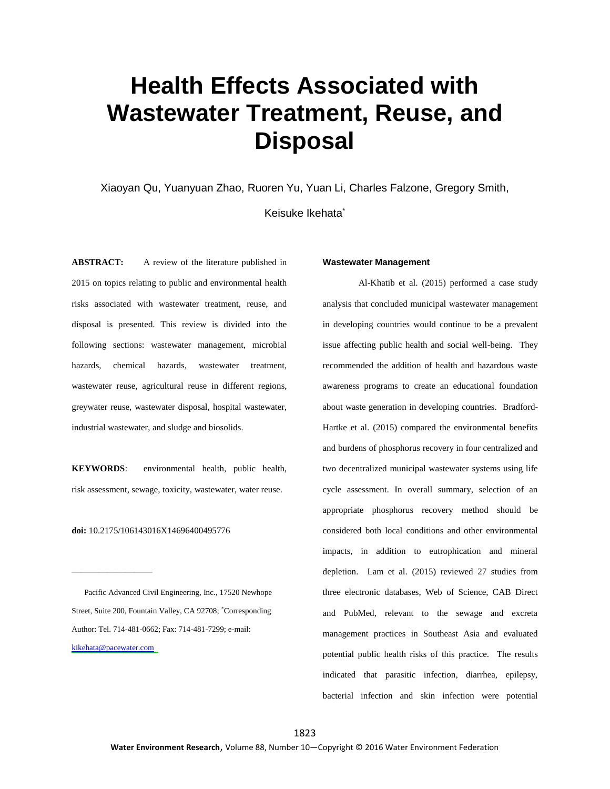# **Health Effects Associated with Wastewater Treatment, Reuse, and Disposal**

Xiaoyan Qu, Yuanyuan Zhao, Ruoren Yu, Yuan Li, Charles Falzone, Gregory Smith,

Keisuke Ikehata\*

**ABSTRACT:** A review of the literature published in 2015 on topics relating to public and environmental health risks associated with wastewater treatment, reuse, and disposal is presented. This review is divided into the following sections: wastewater management, microbial hazards, chemical hazards, wastewater treatment, wastewater reuse, agricultural reuse in different regions, greywater reuse, wastewater disposal, hospital wastewater, industrial wastewater, and sludge and biosolids.

**KEYWORDS**: environmental health, public health, risk assessment, sewage, toxicity, wastewater, water reuse.

**doi:** 10.2175/106143016X14696400495776

————————————————————

 Pacific Advanced Civil Engineering, Inc., 17520 Newhope Street, Suite 200, Fountain Valley, CA 92708; \*Corresponding Author: Tel. 714-481-0662; Fax: 714-481-7299; e-mail: [kikehata@pacewater.com](mailto:kikehata@pacewater.com)

#### **Wastewater Management**

Al-Khatib et al. (2015) performed a case study analysis that concluded municipal wastewater management in developing countries would continue to be a prevalent issue affecting public health and social well-being. They recommended the addition of health and hazardous waste awareness programs to create an educational foundation about waste generation in developing countries. Bradford-Hartke et al. (2015) compared the environmental benefits and burdens of phosphorus recovery in four centralized and two decentralized municipal wastewater systems using life cycle assessment. In overall summary, selection of an appropriate phosphorus recovery method should be considered both local conditions and other environmental impacts, in addition to eutrophication and mineral depletion. Lam et al. (2015) reviewed 27 studies from three electronic databases, Web of Science, CAB Direct and PubMed, relevant to the sewage and excreta management practices in Southeast Asia and evaluated potential public health risks of this practice. The results indicated that parasitic infection, diarrhea, epilepsy, bacterial infection and skin infection were potential

1823 **Water Environment Research**, Volume 88, Number 10—Copyright © 2016 Water Environment Federation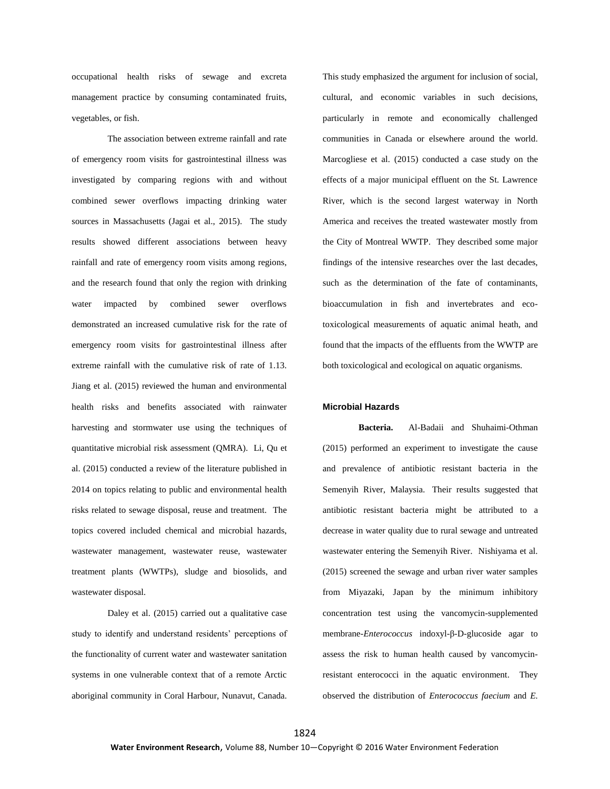occupational health risks of sewage and excreta management practice by consuming contaminated fruits, vegetables, or fish.

The association between extreme rainfall and rate of emergency room visits for gastrointestinal illness was investigated by comparing regions with and without combined sewer overflows impacting drinking water sources in Massachusetts (Jagai et al., 2015). The study results showed different associations between heavy rainfall and rate of emergency room visits among regions, and the research found that only the region with drinking water impacted by combined sewer overflows demonstrated an increased cumulative risk for the rate of emergency room visits for gastrointestinal illness after extreme rainfall with the cumulative risk of rate of 1.13. Jiang et al. (2015) reviewed the human and environmental health risks and benefits associated with rainwater harvesting and stormwater use using the techniques of quantitative microbial risk assessment (QMRA). Li, Qu et al. (2015) conducted a review of the literature published in 2014 on topics relating to public and environmental health risks related to sewage disposal, reuse and treatment. The topics covered included chemical and microbial hazards, wastewater management, wastewater reuse, wastewater treatment plants (WWTPs), sludge and biosolids, and wastewater disposal.

Daley et al. (2015) carried out a qualitative case study to identify and understand residents' perceptions of the functionality of current water and wastewater sanitation systems in one vulnerable context that of a remote Arctic aboriginal community in Coral Harbour, Nunavut, Canada.

This study emphasized the argument for inclusion of social, cultural, and economic variables in such decisions, particularly in remote and economically challenged communities in Canada or elsewhere around the world. Marcogliese et al. (2015) conducted a case study on the effects of a major municipal effluent on the St. Lawrence River, which is the second largest waterway in North America and receives the treated wastewater mostly from the City of Montreal WWTP. They described some major findings of the intensive researches over the last decades, such as the determination of the fate of contaminants, bioaccumulation in fish and invertebrates and ecotoxicological measurements of aquatic animal heath, and found that the impacts of the effluents from the WWTP are both toxicological and ecological on aquatic organisms.

#### **Microbial Hazards**

**Bacteria.** Al-Badaii and Shuhaimi-Othman (2015) performed an experiment to investigate the cause and prevalence of antibiotic resistant bacteria in the Semenyih River, Malaysia. Their results suggested that antibiotic resistant bacteria might be attributed to a decrease in water quality due to rural sewage and untreated wastewater entering the Semenyih River. Nishiyama et al. (2015) screened the sewage and urban river water samples from Miyazaki, Japan by the minimum inhibitory concentration test using the vancomycin-supplemented membrane-*Enterococcus* indoxyl-β-D-glucoside agar to assess the risk to human health caused by vancomycinresistant enterococci in the aquatic environment. They observed the distribution of *Enterococcus faecium* and *E.*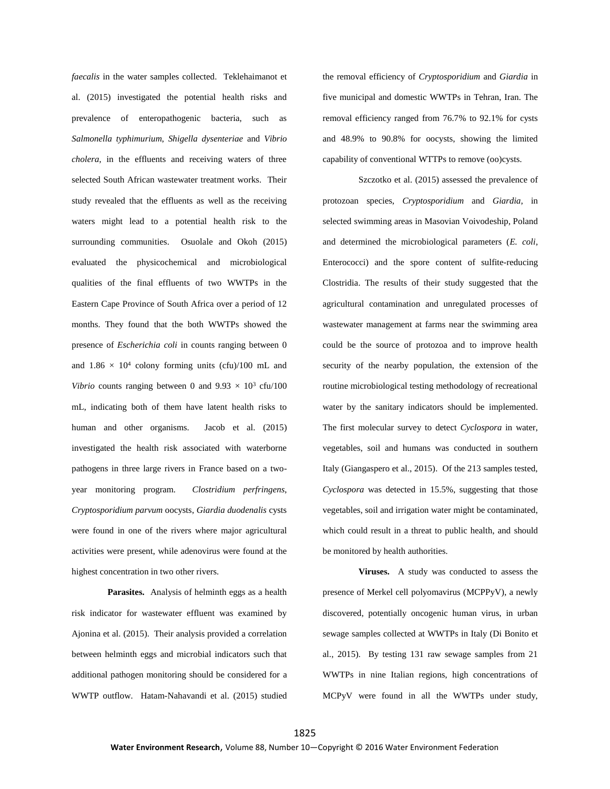*faecalis* in the water samples collected. Teklehaimanot et al. (2015) investigated the potential health risks and prevalence of enteropathogenic bacteria, such as *Salmonella typhimurium*, *Shigella dysenteriae* and *Vibrio cholera*, in the effluents and receiving waters of three selected South African wastewater treatment works. Their study revealed that the effluents as well as the receiving waters might lead to a potential health risk to the surrounding communities. Osuolale and Okoh (2015) evaluated the physicochemical and microbiological qualities of the final effluents of two WWTPs in the Eastern Cape Province of South Africa over a period of 12 months. They found that the both WWTPs showed the presence of *Escherichia coli* in counts ranging between 0 and  $1.86 \times 10^4$  colony forming units (cfu)/100 mL and *Vibrio* counts ranging between 0 and  $9.93 \times 10^3$  cfu/100 mL, indicating both of them have latent health risks to human and other organisms. Jacob et al. (2015) investigated the health risk associated with waterborne pathogens in three large rivers in France based on a twoyear monitoring program. *Clostridium perfringens*, *Cryptosporidium parvum* oocysts, *Giardia duodenalis* cysts were found in one of the rivers where major agricultural activities were present, while adenovirus were found at the highest concentration in two other rivers.

**Parasites.** Analysis of helminth eggs as a health risk indicator for wastewater effluent was examined by Ajonina et al. (2015). Their analysis provided a correlation between helminth eggs and microbial indicators such that additional pathogen monitoring should be considered for a WWTP outflow. Hatam-Nahavandi et al. (2015) studied the removal efficiency of *Cryptosporidium* and *Giardia* in five municipal and domestic WWTPs in Tehran, Iran. The removal efficiency ranged from 76.7% to 92.1% for cysts and 48.9% to 90.8% for oocysts, showing the limited capability of conventional WTTPs to remove (oo)cysts.

Szczotko et al. (2015) assessed the prevalence of protozoan species, *Cryptosporidium* and *Giardia*, in selected swimming areas in Masovian Voivodeship, Poland and determined the microbiological parameters (*E. coli*, Enterococci) and the spore content of sulfite-reducing Clostridia. The results of their study suggested that the agricultural contamination and unregulated processes of wastewater management at farms near the swimming area could be the source of protozoa and to improve health security of the nearby population, the extension of the routine microbiological testing methodology of recreational water by the sanitary indicators should be implemented. The first molecular survey to detect *Cyclospora* in water, vegetables, soil and humans was conducted in southern Italy (Giangaspero et al., 2015). Of the 213 samples tested, *Cyclospora* was detected in 15.5%, suggesting that those vegetables, soil and irrigation water might be contaminated, which could result in a threat to public health, and should be monitored by health authorities.

**Viruses.** A study was conducted to assess the presence of Merkel cell polyomavirus (MCPPyV), a newly discovered, potentially oncogenic human virus, in urban sewage samples collected at WWTPs in Italy (Di Bonito et al., 2015). By testing 131 raw sewage samples from 21 WWTPs in nine Italian regions, high concentrations of MCPyV were found in all the WWTPs under study,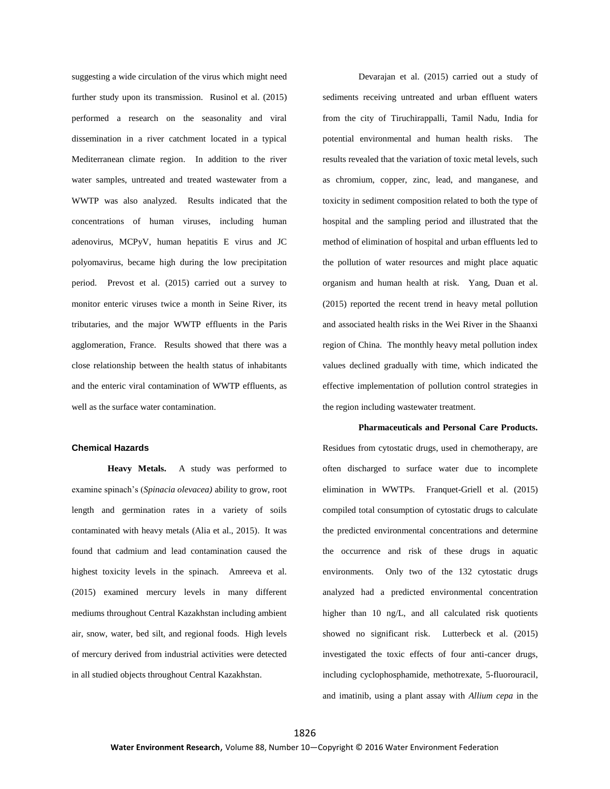suggesting a wide circulation of the virus which might need further study upon its transmission. Rusinol et al. (2015) performed a research on the seasonality and viral dissemination in a river catchment located in a typical Mediterranean climate region. In addition to the river water samples, untreated and treated wastewater from a WWTP was also analyzed. Results indicated that the concentrations of human viruses, including human adenovirus, MCPyV, human hepatitis E virus and JC polyomavirus, became high during the low precipitation period. Prevost et al. (2015) carried out a survey to monitor enteric viruses twice a month in Seine River, its tributaries, and the major WWTP effluents in the Paris agglomeration, France. Results showed that there was a close relationship between the health status of inhabitants and the enteric viral contamination of WWTP effluents, as well as the surface water contamination.

### **Chemical Hazards**

**Heavy Metals.** A study was performed to examine spinach's (*Spinacia olevacea)* ability to grow, root length and germination rates in a variety of soils contaminated with heavy metals (Alia et al., 2015). It was found that cadmium and lead contamination caused the highest toxicity levels in the spinach. Amreeva et al. (2015) examined mercury levels in many different mediums throughout Central Kazakhstan including ambient air, snow, water, bed silt, and regional foods. High levels of mercury derived from industrial activities were detected in all studied objects throughout Central Kazakhstan.

Devarajan et al. (2015) carried out a study of sediments receiving untreated and urban effluent waters from the city of Tiruchirappalli, Tamil Nadu, India for potential environmental and human health risks. The results revealed that the variation of toxic metal levels, such as chromium, copper, zinc, lead, and manganese, and toxicity in sediment composition related to both the type of hospital and the sampling period and illustrated that the method of elimination of hospital and urban effluents led to the pollution of water resources and might place aquatic organism and human health at risk. Yang, Duan et al. (2015) reported the recent trend in heavy metal pollution and associated health risks in the Wei River in the Shaanxi region of China. The monthly heavy metal pollution index values declined gradually with time, which indicated the effective implementation of pollution control strategies in the region including wastewater treatment.

#### **Pharmaceuticals and Personal Care Products.**

Residues from cytostatic drugs, used in chemotherapy, are often discharged to surface water due to incomplete elimination in WWTPs. Franquet-Griell et al. (2015) compiled total consumption of cytostatic drugs to calculate the predicted environmental concentrations and determine the occurrence and risk of these drugs in aquatic environments. Only two of the 132 cytostatic drugs analyzed had a predicted environmental concentration higher than 10 ng/L, and all calculated risk quotients showed no significant risk. Lutterbeck et al. (2015) investigated the toxic effects of four anti-cancer drugs, including cyclophosphamide, methotrexate, 5-fluorouracil, and imatinib, using a plant assay with *Allium cepa* in the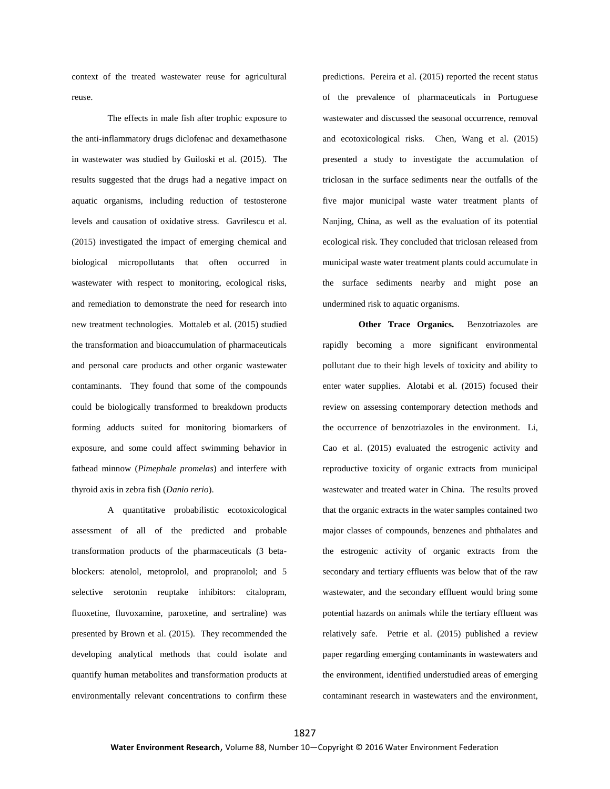context of the treated wastewater reuse for agricultural reuse.

The effects in male fish after trophic exposure to the anti-inflammatory drugs diclofenac and dexamethasone in wastewater was studied by Guiloski et al. (2015). The results suggested that the drugs had a negative impact on aquatic organisms, including reduction of testosterone levels and causation of oxidative stress. Gavrilescu et al. (2015) investigated the impact of emerging chemical and biological micropollutants that often occurred in wastewater with respect to monitoring, ecological risks, and remediation to demonstrate the need for research into new treatment technologies. Mottaleb et al. (2015) studied the transformation and bioaccumulation of pharmaceuticals and personal care products and other organic wastewater contaminants. They found that some of the compounds could be biologically transformed to breakdown products forming adducts suited for monitoring biomarkers of exposure, and some could affect swimming behavior in fathead minnow (*Pimephale promelas*) and interfere with thyroid axis in zebra fish (*Danio rerio*).

A quantitative probabilistic ecotoxicological assessment of all of the predicted and probable transformation products of the pharmaceuticals (3 betablockers: atenolol, metoprolol, and propranolol; and 5 selective serotonin reuptake inhibitors: citalopram, fluoxetine, fluvoxamine, paroxetine, and sertraline) was presented by Brown et al. (2015). They recommended the developing analytical methods that could isolate and quantify human metabolites and transformation products at environmentally relevant concentrations to confirm these

predictions. Pereira et al. (2015) reported the recent status of the prevalence of pharmaceuticals in Portuguese wastewater and discussed the seasonal occurrence, removal and ecotoxicological risks. Chen, Wang et al. (2015) presented a study to investigate the accumulation of triclosan in the surface sediments near the outfalls of the five major municipal waste water treatment plants of Nanjing, China, as well as the evaluation of its potential ecological risk. They concluded that triclosan released from municipal waste water treatment plants could accumulate in the surface sediments nearby and might pose an undermined risk to aquatic organisms.

**Other Trace Organics.** Benzotriazoles are rapidly becoming a more significant environmental pollutant due to their high levels of toxicity and ability to enter water supplies. Alotabi et al. (2015) focused their review on assessing contemporary detection methods and the occurrence of benzotriazoles in the environment. Li, Cao et al. (2015) evaluated the estrogenic activity and reproductive toxicity of organic extracts from municipal wastewater and treated water in China. The results proved that the organic extracts in the water samples contained two major classes of compounds, benzenes and phthalates and the estrogenic activity of organic extracts from the secondary and tertiary effluents was below that of the raw wastewater, and the secondary effluent would bring some potential hazards on animals while the tertiary effluent was relatively safe. Petrie et al. (2015) published a review paper regarding emerging contaminants in wastewaters and the environment, identified understudied areas of emerging contaminant research in wastewaters and the environment,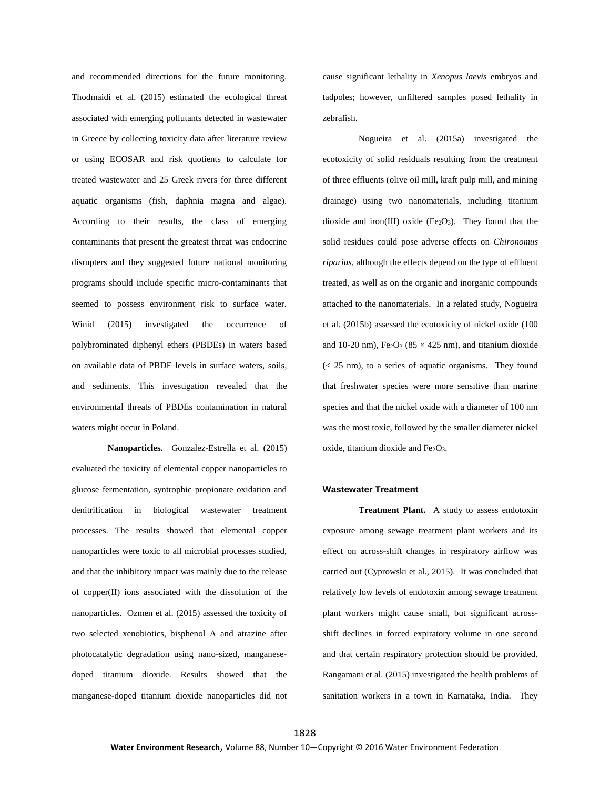and recommended directions for the future monitoring. Thodmaidi et al. (2015) estimated the ecological threat associated with emerging pollutants detected in wastewater in Greece by collecting toxicity data after literature review or using ECOSAR and risk quotients to calculate for treated wastewater and 25 Greek rivers for three different aquatic organisms (fish, daphnia magna and algae). According to their results, the class of emerging contaminants that present the greatest threat was endocrine disrupters and they suggested future national monitoring programs should include specific micro-contaminants that seemed to possess environment risk to surface water. Winid (2015) investigated the occurrence of polybrominated diphenyl ethers (PBDEs) in waters based on available data of PBDE levels in surface waters, soils, and sediments. This investigation revealed that the environmental threats of PBDEs contamination in natural waters might occur in Poland.

**Nanoparticles.** Gonzalez-Estrella et al. (2015) evaluated the toxicity of elemental copper nanoparticles to glucose fermentation, syntrophic propionate oxidation and denitrification in biological wastewater treatment processes. The results showed that elemental copper nanoparticles were toxic to all microbial processes studied, and that the inhibitory impact was mainly due to the release of copper(II) ions associated with the dissolution of the nanoparticles. Ozmen et al. (2015) assessed the toxicity of two selected xenobiotics, bisphenol A and atrazine after photocatalytic degradation using nano-sized, manganesedoped titanium dioxide. Results showed that the manganese-doped titanium dioxide nanoparticles did not

cause significant lethality in *Xenopus laevis* embryos and tadpoles; however, unfiltered samples posed lethality in zebrafish.

Nogueira et al. (2015a) investigated the ecotoxicity of solid residuals resulting from the treatment of three effluents (olive oil mill, kraft pulp mill, and mining drainage) using two nanomaterials, including titanium dioxide and iron(III) oxide (Fe $2O_3$ ). They found that the solid residues could pose adverse effects on *Chironomus riparius*, although the effects depend on the type of effluent treated, as well as on the organic and inorganic compounds attached to the nanomaterials. In a related study, Nogueira et al. (2015b) assessed the ecotoxicity of nickel oxide (100 and 10-20 nm), Fe<sub>2</sub>O<sub>3</sub> (85  $\times$  425 nm), and titanium dioxide  $(< 25$  nm), to a series of aquatic organisms. They found that freshwater species were more sensitive than marine species and that the nickel oxide with a diameter of 100 nm was the most toxic, followed by the smaller diameter nickel oxide, titanium dioxide and  $Fe<sub>2</sub>O<sub>3</sub>$ .

#### **Wastewater Treatment**

**Treatment Plant.** A study to assess endotoxin exposure among sewage treatment plant workers and its effect on across-shift changes in respiratory airflow was carried out (Cyprowski et al., 2015). It was concluded that relatively low levels of endotoxin among sewage treatment plant workers might cause small, but significant acrossshift declines in forced expiratory volume in one second and that certain respiratory protection should be provided. Rangamani et al. (2015) investigated the health problems of sanitation workers in a town in Karnataka, India. They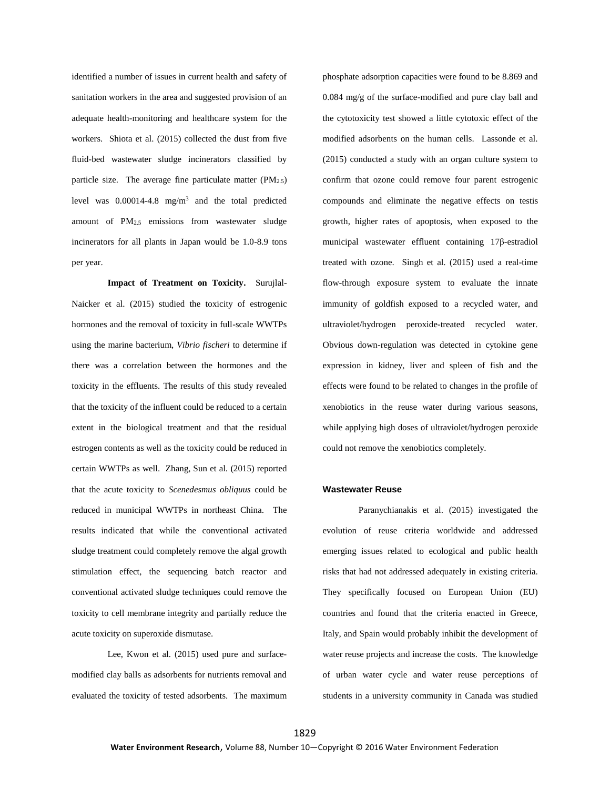identified a number of issues in current health and safety of sanitation workers in the area and suggested provision of an adequate health-monitoring and healthcare system for the workers. Shiota et al. (2015) collected the dust from five fluid-bed wastewater sludge incinerators classified by particle size. The average fine particulate matter  $(PM_{2.5})$ level was  $0.00014 - 4.8$  mg/m<sup>3</sup> and the total predicted amount of PM2.5 emissions from wastewater sludge incinerators for all plants in Japan would be 1.0-8.9 tons per year.

**Impact of Treatment on Toxicity.** Surujlal-Naicker et al. (2015) studied the toxicity of estrogenic hormones and the removal of toxicity in full-scale WWTPs using the marine bacterium, *Vibrio fischeri* to determine if there was a correlation between the hormones and the toxicity in the effluents. The results of this study revealed that the toxicity of the influent could be reduced to a certain extent in the biological treatment and that the residual estrogen contents as well as the toxicity could be reduced in certain WWTPs as well. Zhang, Sun et al. (2015) reported that the acute toxicity to *Scenedesmus obliquus* could be reduced in municipal WWTPs in northeast China. The results indicated that while the conventional activated sludge treatment could completely remove the algal growth stimulation effect, the sequencing batch reactor and conventional activated sludge techniques could remove the toxicity to cell membrane integrity and partially reduce the acute toxicity on superoxide dismutase.

Lee, Kwon et al. (2015) used pure and surfacemodified clay balls as adsorbents for nutrients removal and evaluated the toxicity of tested adsorbents. The maximum phosphate adsorption capacities were found to be 8.869 and 0.084 mg/g of the surface-modified and pure clay ball and the cytotoxicity test showed a little cytotoxic effect of the modified adsorbents on the human cells. Lassonde et al. (2015) conducted a study with an organ culture system to confirm that ozone could remove four parent estrogenic compounds and eliminate the negative effects on testis growth, higher rates of apoptosis, when exposed to the municipal wastewater effluent containing 17β-estradiol treated with ozone. Singh et al. (2015) used a real-time flow-through exposure system to evaluate the innate immunity of goldfish exposed to a recycled water, and ultraviolet/hydrogen peroxide-treated recycled water. Obvious down-regulation was detected in cytokine gene expression in kidney, liver and spleen of fish and the effects were found to be related to changes in the profile of xenobiotics in the reuse water during various seasons, while applying high doses of ultraviolet/hydrogen peroxide could not remove the xenobiotics completely.

#### **Wastewater Reuse**

Paranychianakis et al. (2015) investigated the evolution of reuse criteria worldwide and addressed emerging issues related to ecological and public health risks that had not addressed adequately in existing criteria. They specifically focused on European Union (EU) countries and found that the criteria enacted in Greece, Italy, and Spain would probably inhibit the development of water reuse projects and increase the costs. The knowledge of urban water cycle and water reuse perceptions of students in a university community in Canada was studied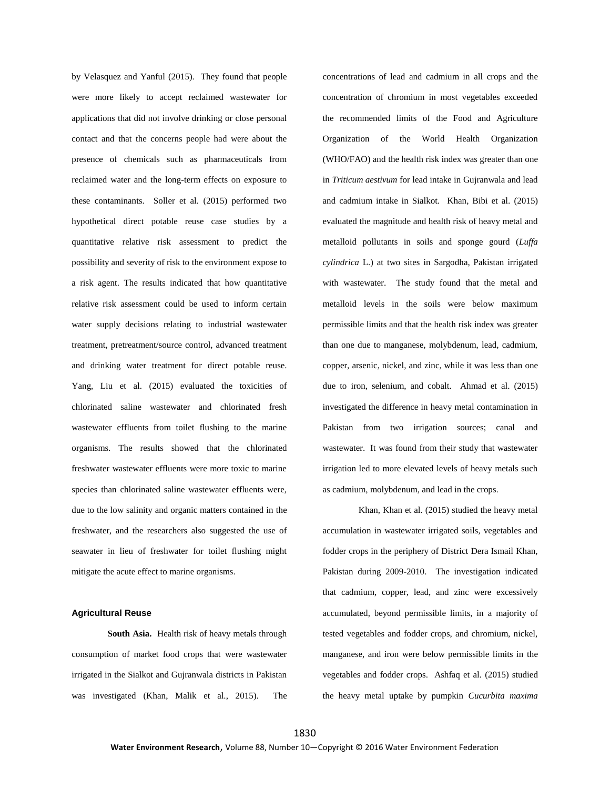by Velasquez and Yanful (2015). They found that people were more likely to accept reclaimed wastewater for applications that did not involve drinking or close personal contact and that the concerns people had were about the presence of chemicals such as pharmaceuticals from reclaimed water and the long-term effects on exposure to these contaminants. Soller et al. (2015) performed two hypothetical direct potable reuse case studies by a quantitative relative risk assessment to predict the possibility and severity of risk to the environment expose to a risk agent. The results indicated that how quantitative relative risk assessment could be used to inform certain water supply decisions relating to industrial wastewater treatment, pretreatment/source control, advanced treatment and drinking water treatment for direct potable reuse. Yang, Liu et al. (2015) evaluated the toxicities of chlorinated saline wastewater and chlorinated fresh wastewater effluents from toilet flushing to the marine organisms. The results showed that the chlorinated freshwater wastewater effluents were more toxic to marine species than chlorinated saline wastewater effluents were, due to the low salinity and organic matters contained in the freshwater, and the researchers also suggested the use of seawater in lieu of freshwater for toilet flushing might mitigate the acute effect to marine organisms.

## **Agricultural Reuse**

**South Asia.** Health risk of heavy metals through consumption of market food crops that were wastewater irrigated in the Sialkot and Gujranwala districts in Pakistan was investigated (Khan, Malik et al., 2015). The

concentrations of lead and cadmium in all crops and the concentration of chromium in most vegetables exceeded the recommended limits of the Food and Agriculture Organization of the World Health Organization (WHO/FAO) and the health risk index was greater than one in *Triticum aestivum* for lead intake in Gujranwala and lead and cadmium intake in Sialkot. Khan, Bibi et al. (2015) evaluated the magnitude and health risk of heavy metal and metalloid pollutants in soils and sponge gourd (*Luffa cylindrica* L.) at two sites in Sargodha, Pakistan irrigated with wastewater. The study found that the metal and metalloid levels in the soils were below maximum permissible limits and that the health risk index was greater than one due to manganese, molybdenum, lead, cadmium, copper, arsenic, nickel, and zinc, while it was less than one due to iron, selenium, and cobalt. Ahmad et al. (2015) investigated the difference in heavy metal contamination in Pakistan from two irrigation sources; canal and wastewater. It was found from their study that wastewater irrigation led to more elevated levels of heavy metals such as cadmium, molybdenum, and lead in the crops.

Khan, Khan et al. (2015) studied the heavy metal accumulation in wastewater irrigated soils, vegetables and fodder crops in the periphery of District Dera Ismail Khan, Pakistan during 2009-2010. The investigation indicated that cadmium, copper, lead, and zinc were excessively accumulated, beyond permissible limits, in a majority of tested vegetables and fodder crops, and chromium, nickel, manganese, and iron were below permissible limits in the vegetables and fodder crops. Ashfaq et al. (2015) studied the heavy metal uptake by pumpkin *Cucurbita maxima*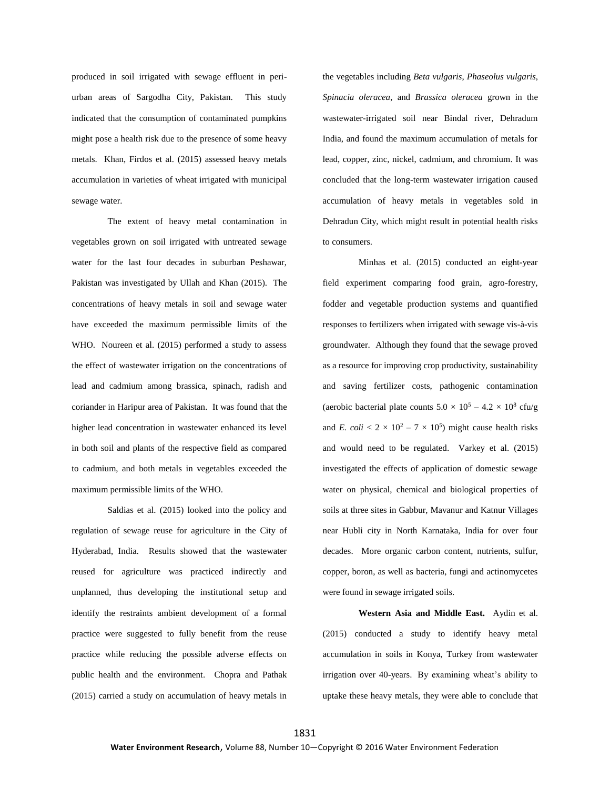produced in soil irrigated with sewage effluent in periurban areas of Sargodha City, Pakistan. This study indicated that the consumption of contaminated pumpkins might pose a health risk due to the presence of some heavy metals. Khan, Firdos et al. (2015) assessed heavy metals accumulation in varieties of wheat irrigated with municipal sewage water.

The extent of heavy metal contamination in vegetables grown on soil irrigated with untreated sewage water for the last four decades in suburban Peshawar, Pakistan was investigated by Ullah and Khan (2015). The concentrations of heavy metals in soil and sewage water have exceeded the maximum permissible limits of the WHO. Noureen et al. (2015) performed a study to assess the effect of wastewater irrigation on the concentrations of lead and cadmium among brassica, spinach, radish and coriander in Haripur area of Pakistan. It was found that the higher lead concentration in wastewater enhanced its level in both soil and plants of the respective field as compared to cadmium, and both metals in vegetables exceeded the maximum permissible limits of the WHO.

Saldias et al. (2015) looked into the policy and regulation of sewage reuse for agriculture in the City of Hyderabad, India. Results showed that the wastewater reused for agriculture was practiced indirectly and unplanned, thus developing the institutional setup and identify the restraints ambient development of a formal practice were suggested to fully benefit from the reuse practice while reducing the possible adverse effects on public health and the environment. Chopra and Pathak (2015) carried a study on accumulation of heavy metals in

the vegetables including *Beta vulgaris*, *Phaseolus vulgaris*, *Spinacia oleracea*, and *Brassica oleracea* grown in the wastewater-irrigated soil near Bindal river, Dehradum India, and found the maximum accumulation of metals for lead, copper, zinc, nickel, cadmium, and chromium. It was concluded that the long-term wastewater irrigation caused accumulation of heavy metals in vegetables sold in Dehradun City, which might result in potential health risks to consumers.

Minhas et al. (2015) conducted an eight-year field experiment comparing food grain, agro-forestry, fodder and vegetable production systems and quantified responses to fertilizers when irrigated with sewage vis-à-vis groundwater. Although they found that the sewage proved as a resource for improving crop productivity, sustainability and saving fertilizer costs, pathogenic contamination (aerobic bacterial plate counts  $5.0 \times 10^5 - 4.2 \times 10^8$  cfu/g and *E.*  $\text{coli} < 2 \times 10^2 - 7 \times 10^5$  might cause health risks and would need to be regulated. Varkey et al. (2015) investigated the effects of application of domestic sewage water on physical, chemical and biological properties of soils at three sites in Gabbur, Mavanur and Katnur Villages near Hubli city in North Karnataka, India for over four decades. More organic carbon content, nutrients, sulfur, copper, boron, as well as bacteria, fungi and actinomycetes were found in sewage irrigated soils.

**Western Asia and Middle East.** Aydin et al. (2015) conducted a study to identify heavy metal accumulation in soils in Konya, Turkey from wastewater irrigation over 40-years. By examining wheat's ability to uptake these heavy metals, they were able to conclude that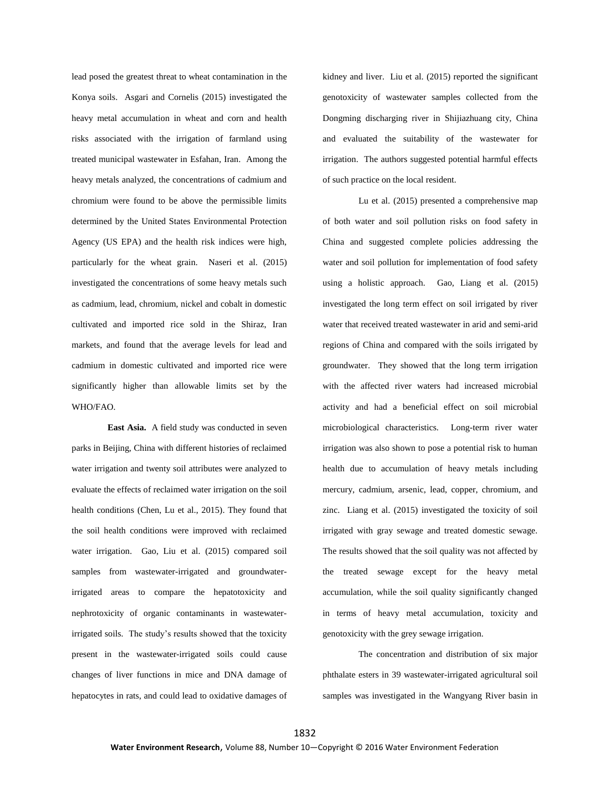lead posed the greatest threat to wheat contamination in the Konya soils. Asgari and Cornelis (2015) investigated the heavy metal accumulation in wheat and corn and health risks associated with the irrigation of farmland using treated municipal wastewater in Esfahan, Iran. Among the heavy metals analyzed, the concentrations of cadmium and chromium were found to be above the permissible limits determined by the United States Environmental Protection Agency (US EPA) and the health risk indices were high, particularly for the wheat grain. Naseri et al. (2015) investigated the concentrations of some heavy metals such as cadmium, lead, chromium, nickel and cobalt in domestic cultivated and imported rice sold in the Shiraz, Iran markets, and found that the average levels for lead and cadmium in domestic cultivated and imported rice were significantly higher than allowable limits set by the WHO/FAO.

**East Asia.** A field study was conducted in seven parks in Beijing, China with different histories of reclaimed water irrigation and twenty soil attributes were analyzed to evaluate the effects of reclaimed water irrigation on the soil health conditions (Chen, Lu et al., 2015). They found that the soil health conditions were improved with reclaimed water irrigation. Gao, Liu et al. (2015) compared soil samples from wastewater-irrigated and groundwaterirrigated areas to compare the hepatotoxicity and nephrotoxicity of organic contaminants in wastewaterirrigated soils. The study's results showed that the toxicity present in the wastewater-irrigated soils could cause changes of liver functions in mice and DNA damage of hepatocytes in rats, and could lead to oxidative damages of kidney and liver. Liu et al. (2015) reported the significant genotoxicity of wastewater samples collected from the Dongming discharging river in Shijiazhuang city, China and evaluated the suitability of the wastewater for irrigation. The authors suggested potential harmful effects of such practice on the local resident.

Lu et al. (2015) presented a comprehensive map of both water and soil pollution risks on food safety in China and suggested complete policies addressing the water and soil pollution for implementation of food safety using a holistic approach. Gao, Liang et al. (2015) investigated the long term effect on soil irrigated by river water that received treated wastewater in arid and semi-arid regions of China and compared with the soils irrigated by groundwater. They showed that the long term irrigation with the affected river waters had increased microbial activity and had a beneficial effect on soil microbial microbiological characteristics. Long-term river water irrigation was also shown to pose a potential risk to human health due to accumulation of heavy metals including mercury, cadmium, arsenic, lead, copper, chromium, and zinc. Liang et al. (2015) investigated the toxicity of soil irrigated with gray sewage and treated domestic sewage. The results showed that the soil quality was not affected by the treated sewage except for the heavy metal accumulation, while the soil quality significantly changed in terms of heavy metal accumulation, toxicity and genotoxicity with the grey sewage irrigation.

The concentration and distribution of six major phthalate esters in 39 wastewater-irrigated agricultural soil samples was investigated in the Wangyang River basin in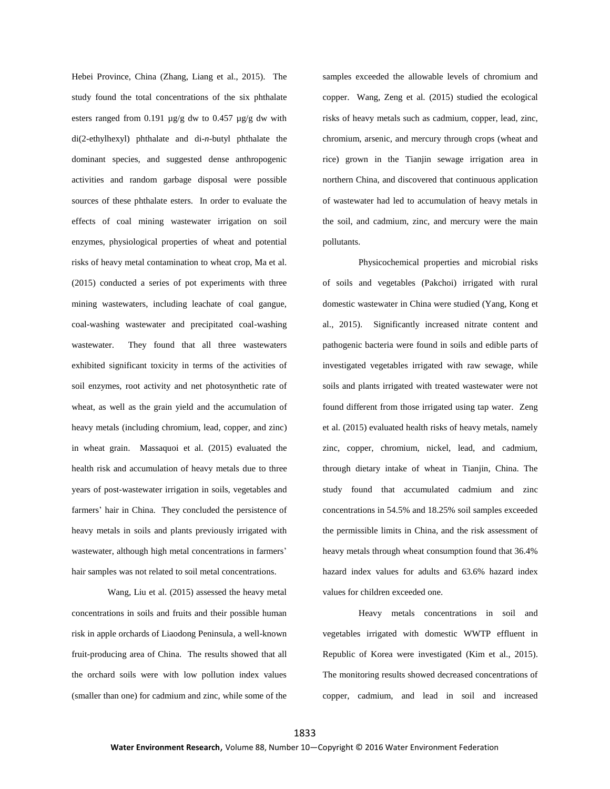Hebei Province, China (Zhang, Liang et al., 2015). The study found the total concentrations of the six phthalate esters ranged from 0.191  $\mu$ g/g dw to 0.457  $\mu$ g/g dw with di(2-ethylhexyl) phthalate and di-*n*-butyl phthalate the dominant species, and suggested dense anthropogenic activities and random garbage disposal were possible sources of these phthalate esters. In order to evaluate the effects of coal mining wastewater irrigation on soil enzymes, physiological properties of wheat and potential risks of heavy metal contamination to wheat crop, Ma et al. (2015) conducted a series of pot experiments with three mining wastewaters, including leachate of coal gangue, coal-washing wastewater and precipitated coal-washing wastewater. They found that all three wastewaters exhibited significant toxicity in terms of the activities of soil enzymes, root activity and net photosynthetic rate of wheat, as well as the grain yield and the accumulation of heavy metals (including chromium, lead, copper, and zinc) in wheat grain. Massaquoi et al. (2015) evaluated the health risk and accumulation of heavy metals due to three years of post-wastewater irrigation in soils, vegetables and farmers' hair in China. They concluded the persistence of heavy metals in soils and plants previously irrigated with wastewater, although high metal concentrations in farmers' hair samples was not related to soil metal concentrations.

Wang, Liu et al. (2015) assessed the heavy metal concentrations in soils and fruits and their possible human risk in apple orchards of Liaodong Peninsula, a well-known fruit-producing area of China. The results showed that all the orchard soils were with low pollution index values (smaller than one) for cadmium and zinc, while some of the

samples exceeded the allowable levels of chromium and copper. Wang, Zeng et al. (2015) studied the ecological risks of heavy metals such as cadmium, copper, lead, zinc, chromium, arsenic, and mercury through crops (wheat and rice) grown in the Tianjin sewage irrigation area in northern China, and discovered that continuous application of wastewater had led to accumulation of heavy metals in the soil, and cadmium, zinc, and mercury were the main pollutants.

Physicochemical properties and microbial risks of soils and vegetables (Pakchoi) irrigated with rural domestic wastewater in China were studied (Yang, Kong et al., 2015). Significantly increased nitrate content and pathogenic bacteria were found in soils and edible parts of investigated vegetables irrigated with raw sewage, while soils and plants irrigated with treated wastewater were not found different from those irrigated using tap water. Zeng et al. (2015) evaluated health risks of heavy metals, namely zinc, copper, chromium, nickel, lead, and cadmium, through dietary intake of wheat in Tianjin, China. The study found that accumulated cadmium and zinc concentrations in 54.5% and 18.25% soil samples exceeded the permissible limits in China, and the risk assessment of heavy metals through wheat consumption found that 36.4% hazard index values for adults and 63.6% hazard index values for children exceeded one.

Heavy metals concentrations in soil and vegetables irrigated with domestic WWTP effluent in Republic of Korea were investigated (Kim et al., 2015). The monitoring results showed decreased concentrations of copper, cadmium, and lead in soil and increased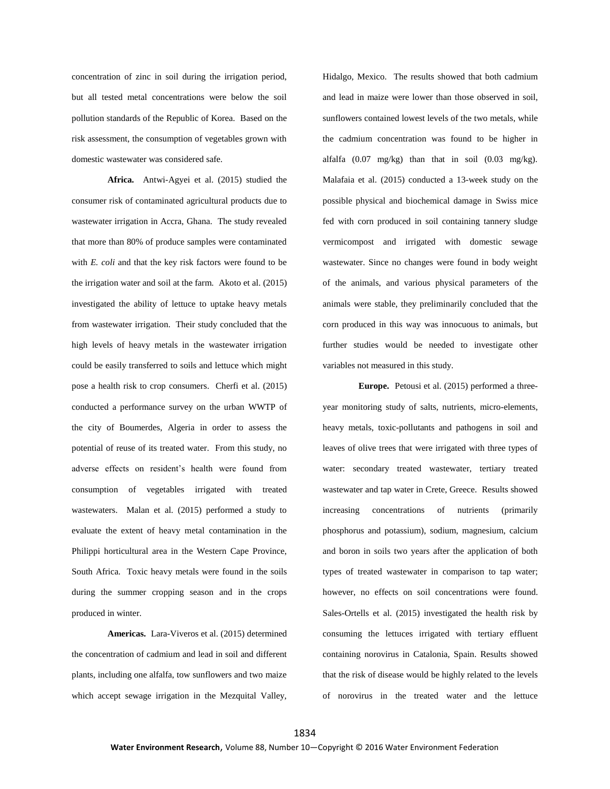concentration of zinc in soil during the irrigation period, but all tested metal concentrations were below the soil pollution standards of the Republic of Korea. Based on the risk assessment, the consumption of vegetables grown with domestic wastewater was considered safe.

**Africa.** Antwi-Agyei et al. (2015) studied the consumer risk of contaminated agricultural products due to wastewater irrigation in Accra, Ghana. The study revealed that more than 80% of produce samples were contaminated with *E. coli* and that the key risk factors were found to be the irrigation water and soil at the farm. Akoto et al. (2015) investigated the ability of lettuce to uptake heavy metals from wastewater irrigation. Their study concluded that the high levels of heavy metals in the wastewater irrigation could be easily transferred to soils and lettuce which might pose a health risk to crop consumers. Cherfi et al. (2015) conducted a performance survey on the urban WWTP of the city of Boumerdes, Algeria in order to assess the potential of reuse of its treated water. From this study, no adverse effects on resident's health were found from consumption of vegetables irrigated with treated wastewaters. Malan et al. (2015) performed a study to evaluate the extent of heavy metal contamination in the Philippi horticultural area in the Western Cape Province, South Africa. Toxic heavy metals were found in the soils during the summer cropping season and in the crops produced in winter.

**Americas.** Lara-Viveros et al. (2015) determined the concentration of cadmium and lead in soil and different plants, including one alfalfa, tow sunflowers and two maize which accept sewage irrigation in the Mezquital Valley,

Hidalgo, Mexico. The results showed that both cadmium and lead in maize were lower than those observed in soil, sunflowers contained lowest levels of the two metals, while the cadmium concentration was found to be higher in alfalfa (0.07 mg/kg) than that in soil (0.03 mg/kg). Malafaia et al. (2015) conducted a 13-week study on the possible physical and biochemical damage in Swiss mice fed with corn produced in soil containing tannery sludge vermicompost and irrigated with domestic sewage wastewater. Since no changes were found in body weight of the animals, and various physical parameters of the animals were stable, they preliminarily concluded that the corn produced in this way was innocuous to animals, but further studies would be needed to investigate other variables not measured in this study.

**Europe.** Petousi et al. (2015) performed a threeyear monitoring study of salts, nutrients, micro-elements, heavy metals, toxic-pollutants and pathogens in soil and leaves of olive trees that were irrigated with three types of water: secondary treated wastewater, tertiary treated wastewater and tap water in Crete, Greece. Results showed increasing concentrations of nutrients (primarily phosphorus and potassium), sodium, magnesium, calcium and boron in soils two years after the application of both types of treated wastewater in comparison to tap water; however, no effects on soil concentrations were found. Sales-Ortells et al. (2015) investigated the health risk by consuming the lettuces irrigated with tertiary effluent containing norovirus in Catalonia, Spain. Results showed that the risk of disease would be highly related to the levels of norovirus in the treated water and the lettuce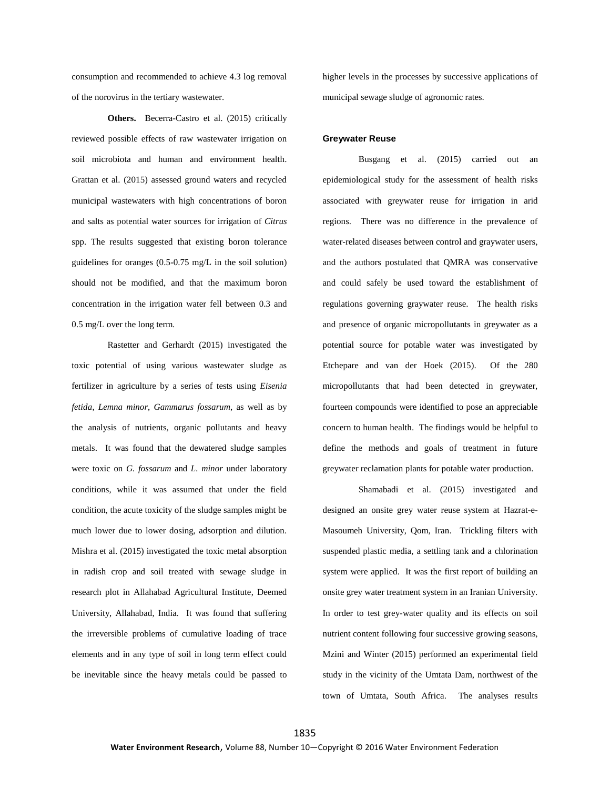consumption and recommended to achieve 4.3 log removal of the norovirus in the tertiary wastewater.

**Others.** Becerra-Castro et al. (2015) critically reviewed possible effects of raw wastewater irrigation on soil microbiota and human and environment health. Grattan et al. (2015) assessed ground waters and recycled municipal wastewaters with high concentrations of boron and salts as potential water sources for irrigation of *Citrus* spp. The results suggested that existing boron tolerance guidelines for oranges (0.5-0.75 mg/L in the soil solution) should not be modified, and that the maximum boron concentration in the irrigation water fell between 0.3 and 0.5 mg/L over the long term.

Rastetter and Gerhardt (2015) investigated the toxic potential of using various wastewater sludge as fertilizer in agriculture by a series of tests using *Eisenia fetida*, *Lemna minor*, *Gammarus fossarum*, as well as by the analysis of nutrients, organic pollutants and heavy metals. It was found that the dewatered sludge samples were toxic on *G. fossarum* and *L. minor* under laboratory conditions, while it was assumed that under the field condition, the acute toxicity of the sludge samples might be much lower due to lower dosing, adsorption and dilution. Mishra et al. (2015) investigated the toxic metal absorption in radish crop and soil treated with sewage sludge in research plot in Allahabad Agricultural Institute, Deemed University, Allahabad, India. It was found that suffering the irreversible problems of cumulative loading of trace elements and in any type of soil in long term effect could be inevitable since the heavy metals could be passed to

higher levels in the processes by successive applications of municipal sewage sludge of agronomic rates.

#### **Greywater Reuse**

Busgang et al. (2015) carried out an epidemiological study for the assessment of health risks associated with greywater reuse for irrigation in arid regions. There was no difference in the prevalence of water-related diseases between control and graywater users, and the authors postulated that QMRA was conservative and could safely be used toward the establishment of regulations governing graywater reuse. The health risks and presence of organic micropollutants in greywater as a potential source for potable water was investigated by Etchepare and van der Hoek (2015). Of the 280 micropollutants that had been detected in greywater, fourteen compounds were identified to pose an appreciable concern to human health. The findings would be helpful to define the methods and goals of treatment in future greywater reclamation plants for potable water production.

Shamabadi et al. (2015) investigated and designed an onsite grey water reuse system at Hazrat-e-Masoumeh University, Qom, Iran. Trickling filters with suspended plastic media, a settling tank and a chlorination system were applied. It was the first report of building an onsite grey water treatment system in an Iranian University. In order to test grey-water quality and its effects on soil nutrient content following four successive growing seasons, Mzini and Winter (2015) performed an experimental field study in the vicinity of the Umtata Dam, northwest of the town of Umtata, South Africa. The analyses results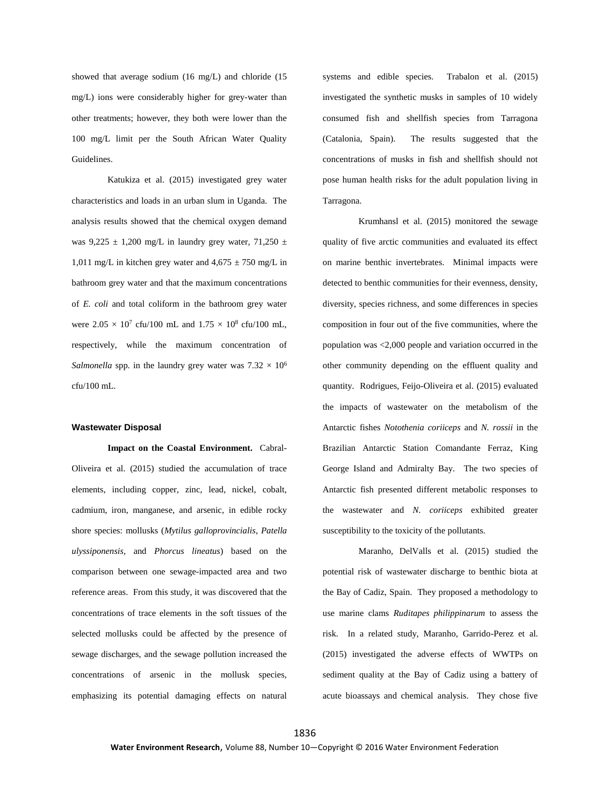showed that average sodium (16 mg/L) and chloride (15 mg/L) ions were considerably higher for grey-water than other treatments; however, they both were lower than the 100 mg/L limit per the South African Water Quality Guidelines.

Katukiza et al. (2015) investigated grey water characteristics and loads in an urban slum in Uganda. The analysis results showed that the chemical oxygen demand was  $9,225 \pm 1,200$  mg/L in laundry grey water,  $71,250 \pm 1$ 1,011 mg/L in kitchen grey water and  $4,675 \pm 750$  mg/L in bathroom grey water and that the maximum concentrations of *E. coli* and total coliform in the bathroom grey water were  $2.05 \times 10^7$  cfu/100 mL and  $1.75 \times 10^8$  cfu/100 mL, respectively, while the maximum concentration of *Salmonella* spp. in the laundry grey water was  $7.32 \times 10^6$ cfu/100 mL.

#### **Wastewater Disposal**

**Impact on the Coastal Environment.** Cabral-Oliveira et al. (2015) studied the accumulation of trace elements, including copper, zinc, lead, nickel, cobalt, cadmium, iron, manganese, and arsenic, in edible rocky shore species: mollusks (*Mytilus galloprovincialis*, *Patella ulyssiponensis*, and *Phorcus lineatus*) based on the comparison between one sewage-impacted area and two reference areas. From this study, it was discovered that the concentrations of trace elements in the soft tissues of the selected mollusks could be affected by the presence of sewage discharges, and the sewage pollution increased the concentrations of arsenic in the mollusk species, emphasizing its potential damaging effects on natural systems and edible species. Trabalon et al. (2015) investigated the synthetic musks in samples of 10 widely consumed fish and shellfish species from Tarragona (Catalonia, Spain). The results suggested that the concentrations of musks in fish and shellfish should not pose human health risks for the adult population living in Tarragona.

Krumhansl et al. (2015) monitored the sewage quality of five arctic communities and evaluated its effect on marine benthic invertebrates. Minimal impacts were detected to benthic communities for their evenness, density, diversity, species richness, and some differences in species composition in four out of the five communities, where the population was <2,000 people and variation occurred in the other community depending on the effluent quality and quantity. Rodrigues, Feijo-Oliveira et al. (2015) evaluated the impacts of wastewater on the metabolism of the Antarctic fishes *Notothenia coriiceps* and *N. rossii* in the Brazilian Antarctic Station Comandante Ferraz, King George Island and Admiralty Bay. The two species of Antarctic fish presented different metabolic responses to the wastewater and *N. coriiceps* exhibited greater susceptibility to the toxicity of the pollutants.

Maranho, DelValls et al. (2015) studied the potential risk of wastewater discharge to benthic biota at the Bay of Cadiz, Spain. They proposed a methodology to use marine clams *Ruditapes philippinarum* to assess the risk. In a related study, Maranho, Garrido-Perez et al. (2015) investigated the adverse effects of WWTPs on sediment quality at the Bay of Cadiz using a battery of acute bioassays and chemical analysis. They chose five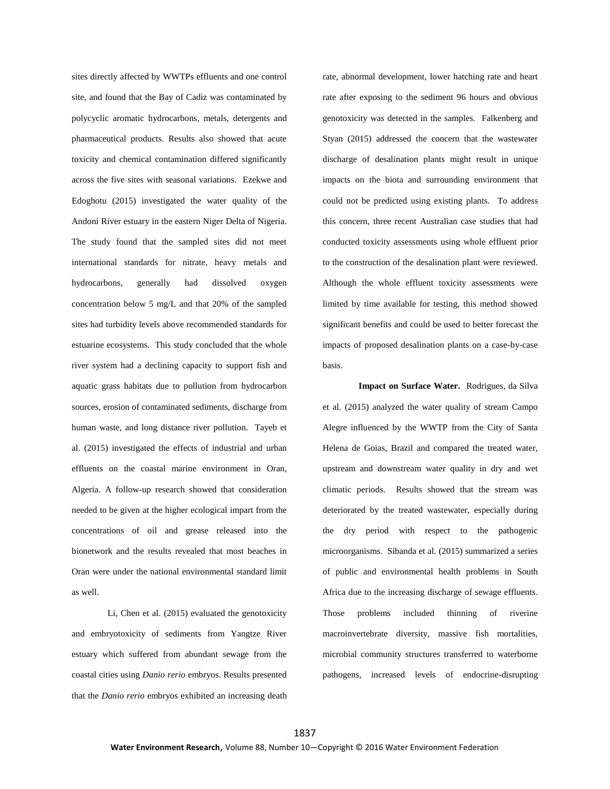sites directly affected by WWTPs effluents and one control site, and found that the Bay of Cadiz was contaminated by polycyclic aromatic hydrocarbons, metals, detergents and pharmaceutical products. Results also showed that acute toxicity and chemical contamination differed significantly across the five sites with seasonal variations. Ezekwe and Edoghotu (2015) investigated the water quality of the Andoni River estuary in the eastern Niger Delta of Nigeria. The study found that the sampled sites did not meet international standards for nitrate, heavy metals and hydrocarbons, generally had dissolved oxygen concentration below 5 mg/L and that 20% of the sampled sites had turbidity levels above recommended standards for estuarine ecosystems. This study concluded that the whole river system had a declining capacity to support fish and aquatic grass habitats due to pollution from hydrocarbon sources, erosion of contaminated sediments, discharge from human waste, and long distance river pollution. Tayeb et al. (2015) investigated the effects of industrial and urban effluents on the coastal marine environment in Oran, Algeria. A follow-up research showed that consideration needed to be given at the higher ecological impart from the concentrations of oil and grease released into the bionetwork and the results revealed that most beaches in Oran were under the national environmental standard limit as well.

Li, Chen et al. (2015) evaluated the genotoxicity and embryotoxicity of sediments from Yangtze River estuary which suffered from abundant sewage from the coastal cities using *Danio rerio* embryos. Results presented that the *Danio rerio* embryos exhibited an increasing death

rate, abnormal development, lower hatching rate and heart rate after exposing to the sediment 96 hours and obvious genotoxicity was detected in the samples. Falkenberg and Styan (2015) addressed the concern that the wastewater discharge of desalination plants might result in unique impacts on the biota and surrounding environment that could not be predicted using existing plants. To address this concern, three recent Australian case studies that had conducted toxicity assessments using whole effluent prior to the construction of the desalination plant were reviewed. Although the whole effluent toxicity assessments were limited by time available for testing, this method showed significant benefits and could be used to better forecast the impacts of proposed desalination plants on a case-by-case basis.

**Impact on Surface Water.** Rodrigues, da Silva et al. (2015) analyzed the water quality of stream Campo Alegre influenced by the WWTP from the City of Santa Helena de Goias, Brazil and compared the treated water, upstream and downstream water quality in dry and wet climatic periods. Results showed that the stream was deteriorated by the treated wastewater, especially during the dry period with respect to the pathogenic microorganisms. Sibanda et al. (2015) summarized a series of public and environmental health problems in South Africa due to the increasing discharge of sewage effluents. Those problems included thinning of riverine macroinvertebrate diversity, massive fish mortalities, microbial community structures transferred to waterborne pathogens, increased levels of endocrine-disrupting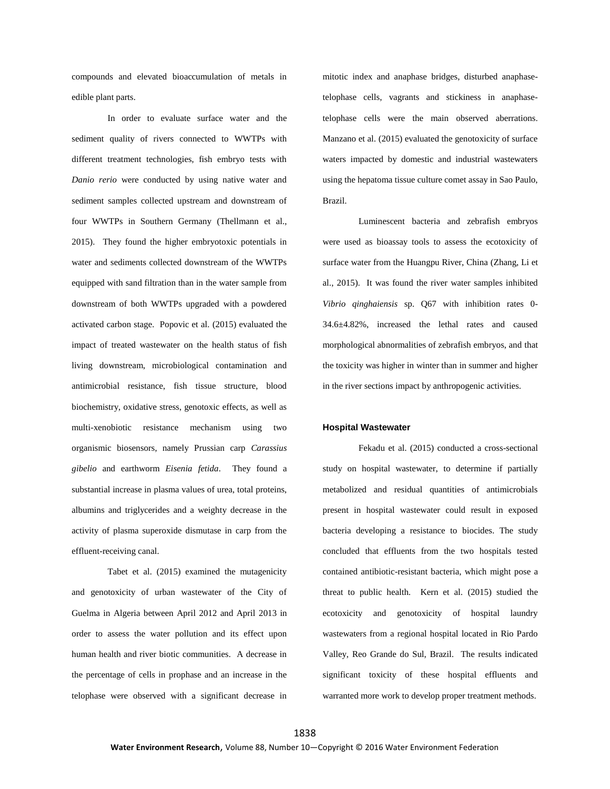compounds and elevated bioaccumulation of metals in edible plant parts.

In order to evaluate surface water and the sediment quality of rivers connected to WWTPs with different treatment technologies, fish embryo tests with *Danio rerio* were conducted by using native water and sediment samples collected upstream and downstream of four WWTPs in Southern Germany (Thellmann et al., 2015). They found the higher embryotoxic potentials in water and sediments collected downstream of the WWTPs equipped with sand filtration than in the water sample from downstream of both WWTPs upgraded with a powdered activated carbon stage. Popovic et al. (2015) evaluated the impact of treated wastewater on the health status of fish living downstream, microbiological contamination and antimicrobial resistance, fish tissue structure, blood biochemistry, oxidative stress, genotoxic effects, as well as multi-xenobiotic resistance mechanism using two organismic biosensors, namely Prussian carp *Carassius gibelio* and earthworm *Eisenia fetida*. They found a substantial increase in plasma values of urea, total proteins, albumins and triglycerides and a weighty decrease in the activity of plasma superoxide dismutase in carp from the effluent-receiving canal.

Tabet et al. (2015) examined the mutagenicity and genotoxicity of urban wastewater of the City of Guelma in Algeria between April 2012 and April 2013 in order to assess the water pollution and its effect upon human health and river biotic communities. A decrease in the percentage of cells in prophase and an increase in the telophase were observed with a significant decrease in mitotic index and anaphase bridges, disturbed anaphasetelophase cells, vagrants and stickiness in anaphasetelophase cells were the main observed aberrations. Manzano et al. (2015) evaluated the genotoxicity of surface waters impacted by domestic and industrial wastewaters using the hepatoma tissue culture comet assay in Sao Paulo, Brazil.

Luminescent bacteria and zebrafish embryos were used as bioassay tools to assess the ecotoxicity of surface water from the Huangpu River, China (Zhang, Li et al., 2015). It was found the river water samples inhibited *Vibrio qinghaiensis* sp. Q67 with inhibition rates 0- 34.6±4.82%, increased the lethal rates and caused morphological abnormalities of zebrafish embryos, and that the toxicity was higher in winter than in summer and higher in the river sections impact by anthropogenic activities.

#### **Hospital Wastewater**

Fekadu et al. (2015) conducted a cross-sectional study on hospital wastewater, to determine if partially metabolized and residual quantities of antimicrobials present in hospital wastewater could result in exposed bacteria developing a resistance to biocides. The study concluded that effluents from the two hospitals tested contained antibiotic-resistant bacteria, which might pose a threat to public health. Kern et al. (2015) studied the ecotoxicity and genotoxicity of hospital laundry wastewaters from a regional hospital located in Rio Pardo Valley, Reo Grande do Sul, Brazil. The results indicated significant toxicity of these hospital effluents and warranted more work to develop proper treatment methods.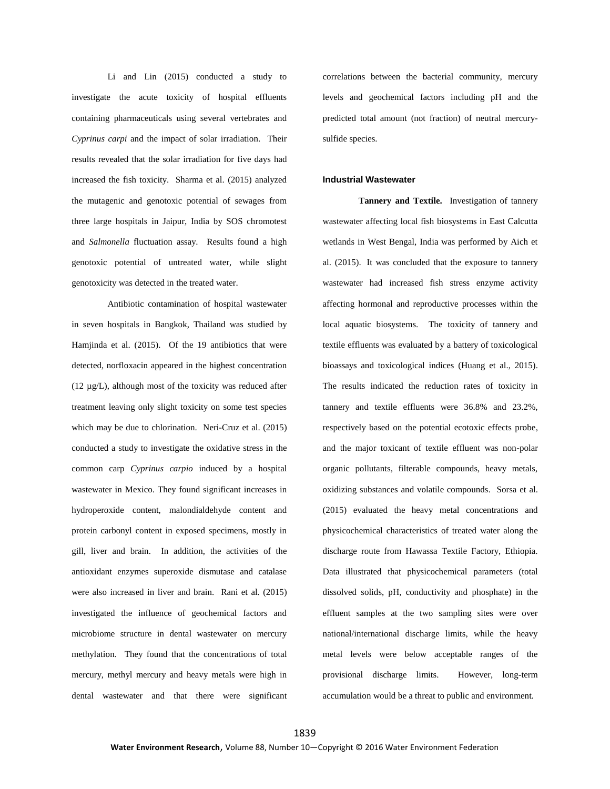Li and Lin (2015) conducted a study to investigate the acute toxicity of hospital effluents containing pharmaceuticals using several vertebrates and *Cyprinus carpi* and the impact of solar irradiation. Their results revealed that the solar irradiation for five days had increased the fish toxicity. Sharma et al. (2015) analyzed the mutagenic and genotoxic potential of sewages from three large hospitals in Jaipur, India by SOS chromotest and *Salmonella* fluctuation assay. Results found a high genotoxic potential of untreated water, while slight genotoxicity was detected in the treated water.

Antibiotic contamination of hospital wastewater in seven hospitals in Bangkok, Thailand was studied by Hamjinda et al. (2015). Of the 19 antibiotics that were detected, norfloxacin appeared in the highest concentration (12 µg/L), although most of the toxicity was reduced after treatment leaving only slight toxicity on some test species which may be due to chlorination. Neri-Cruz et al. (2015) conducted a study to investigate the oxidative stress in the common carp *Cyprinus carpio* induced by a hospital wastewater in Mexico. They found significant increases in hydroperoxide content, malondialdehyde content and protein carbonyl content in exposed specimens, mostly in gill, liver and brain. In addition, the activities of the antioxidant enzymes superoxide dismutase and catalase were also increased in liver and brain. Rani et al. (2015) investigated the influence of geochemical factors and microbiome structure in dental wastewater on mercury methylation. They found that the concentrations of total mercury, methyl mercury and heavy metals were high in dental wastewater and that there were significant correlations between the bacterial community, mercury levels and geochemical factors including pH and the predicted total amount (not fraction) of neutral mercurysulfide species.

## **Industrial Wastewater**

**Tannery and Textile.** Investigation of tannery wastewater affecting local fish biosystems in East Calcutta wetlands in West Bengal, India was performed by Aich et al. (2015). It was concluded that the exposure to tannery wastewater had increased fish stress enzyme activity affecting hormonal and reproductive processes within the local aquatic biosystems. The toxicity of tannery and textile effluents was evaluated by a battery of toxicological bioassays and toxicological indices (Huang et al., 2015). The results indicated the reduction rates of toxicity in tannery and textile effluents were 36.8% and 23.2%, respectively based on the potential ecotoxic effects probe, and the major toxicant of textile effluent was non-polar organic pollutants, filterable compounds, heavy metals, oxidizing substances and volatile compounds. Sorsa et al. (2015) evaluated the heavy metal concentrations and physicochemical characteristics of treated water along the discharge route from Hawassa Textile Factory, Ethiopia. Data illustrated that physicochemical parameters (total dissolved solids, pH, conductivity and phosphate) in the effluent samples at the two sampling sites were over national/international discharge limits, while the heavy metal levels were below acceptable ranges of the provisional discharge limits. However, long-term accumulation would be a threat to public and environment.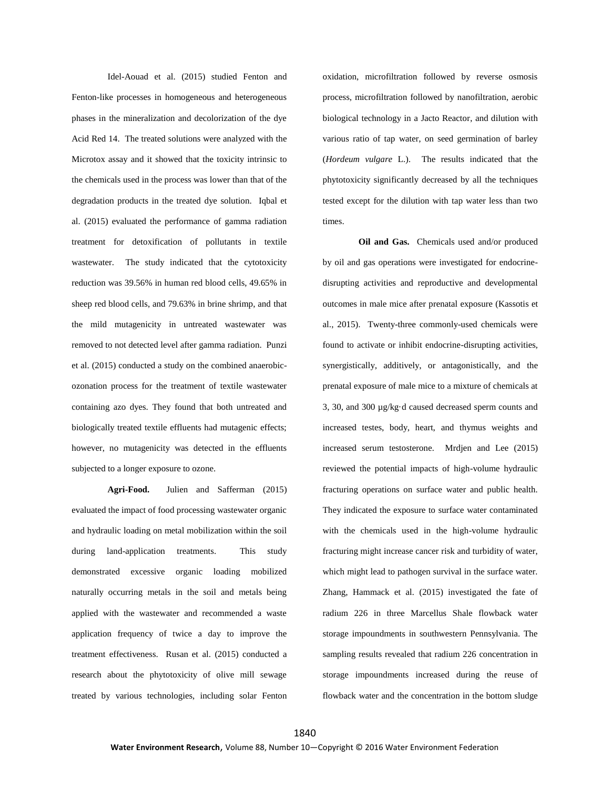Idel-Aouad et al. (2015) studied Fenton and Fenton-like processes in homogeneous and heterogeneous phases in the mineralization and decolorization of the dye Acid Red 14. The treated solutions were analyzed with the Microtox assay and it showed that the toxicity intrinsic to the chemicals used in the process was lower than that of the degradation products in the treated dye solution. Iqbal et al. (2015) evaluated the performance of gamma radiation treatment for detoxification of pollutants in textile wastewater. The study indicated that the cytotoxicity reduction was 39.56% in human red blood cells, 49.65% in sheep red blood cells, and 79.63% in brine shrimp, and that the mild mutagenicity in untreated wastewater was removed to not detected level after gamma radiation. Punzi et al. (2015) conducted a study on the combined anaerobicozonation process for the treatment of textile wastewater containing azo dyes. They found that both untreated and biologically treated textile effluents had mutagenic effects; however, no mutagenicity was detected in the effluents subjected to a longer exposure to ozone.

**Agri-Food.** Julien and Safferman (2015) evaluated the impact of food processing wastewater organic and hydraulic loading on metal mobilization within the soil during land-application treatments. This study demonstrated excessive organic loading mobilized naturally occurring metals in the soil and metals being applied with the wastewater and recommended a waste application frequency of twice a day to improve the treatment effectiveness. Rusan et al. (2015) conducted a research about the phytotoxicity of olive mill sewage treated by various technologies, including solar Fenton oxidation, microfiltration followed by reverse osmosis process, microfiltration followed by nanofiltration, aerobic biological technology in a Jacto Reactor, and dilution with various ratio of tap water, on seed germination of barley (*Hordeum vulgare* L.). The results indicated that the phytotoxicity significantly decreased by all the techniques tested except for the dilution with tap water less than two times.

**Oil and Gas.** Chemicals used and/or produced by oil and gas operations were investigated for endocrinedisrupting activities and reproductive and developmental outcomes in male mice after prenatal exposure (Kassotis et al., 2015). Twenty-three commonly-used chemicals were found to activate or inhibit endocrine-disrupting activities, synergistically, additively, or antagonistically, and the prenatal exposure of male mice to a mixture of chemicals at 3, 30, and 300 µg/kg·d caused decreased sperm counts and increased testes, body, heart, and thymus weights and increased serum testosterone. Mrdjen and Lee (2015) reviewed the potential impacts of high-volume hydraulic fracturing operations on surface water and public health. They indicated the exposure to surface water contaminated with the chemicals used in the high-volume hydraulic fracturing might increase cancer risk and turbidity of water, which might lead to pathogen survival in the surface water. Zhang, Hammack et al. (2015) investigated the fate of radium 226 in three Marcellus Shale flowback water storage impoundments in southwestern Pennsylvania. The sampling results revealed that radium 226 concentration in storage impoundments increased during the reuse of flowback water and the concentration in the bottom sludge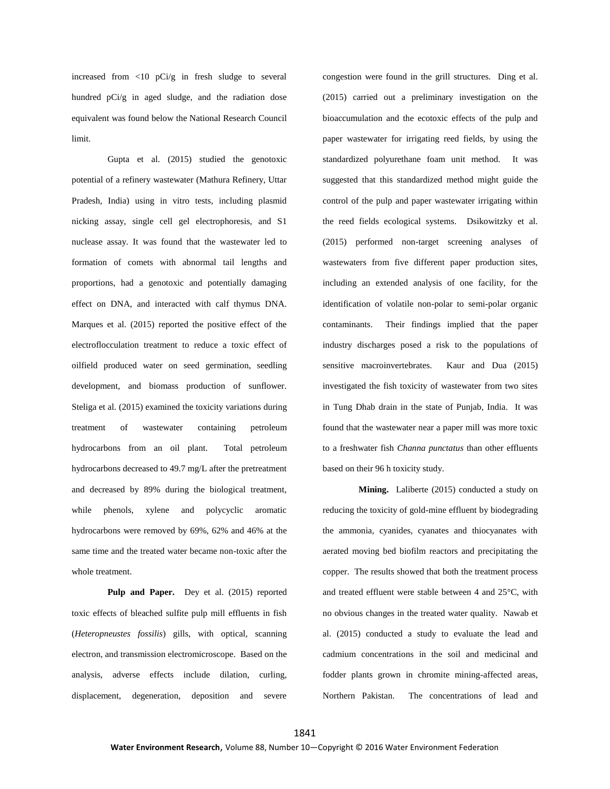increased from <10 pCi/g in fresh sludge to several hundred pCi/g in aged sludge, and the radiation dose equivalent was found below the National Research Council limit.

Gupta et al. (2015) studied the genotoxic potential of a refinery wastewater (Mathura Refinery, Uttar Pradesh, India) using in vitro tests, including plasmid nicking assay, single cell gel electrophoresis, and S1 nuclease assay. It was found that the wastewater led to formation of comets with abnormal tail lengths and proportions, had a genotoxic and potentially damaging effect on DNA, and interacted with calf thymus DNA. Marques et al. (2015) reported the positive effect of the electroflocculation treatment to reduce a toxic effect of oilfield produced water on seed germination, seedling development, and biomass production of sunflower. Steliga et al. (2015) examined the toxicity variations during treatment of wastewater containing petroleum hydrocarbons from an oil plant. Total petroleum hydrocarbons decreased to 49.7 mg/L after the pretreatment and decreased by 89% during the biological treatment, while phenols, xylene and polycyclic aromatic hydrocarbons were removed by 69%, 62% and 46% at the same time and the treated water became non-toxic after the whole treatment.

Pulp and Paper. Dey et al. (2015) reported toxic effects of bleached sulfite pulp mill effluents in fish (*Heteropneustes fossilis*) gills, with optical, scanning electron, and transmission electromicroscope. Based on the analysis, adverse effects include dilation, curling, displacement, degeneration, deposition and severe

congestion were found in the grill structures. Ding et al. (2015) carried out a preliminary investigation on the bioaccumulation and the ecotoxic effects of the pulp and paper wastewater for irrigating reed fields, by using the standardized polyurethane foam unit method. It was suggested that this standardized method might guide the control of the pulp and paper wastewater irrigating within the reed fields ecological systems. Dsikowitzky et al. (2015) performed non-target screening analyses of wastewaters from five different paper production sites, including an extended analysis of one facility, for the identification of volatile non-polar to semi-polar organic contaminants. Their findings implied that the paper industry discharges posed a risk to the populations of sensitive macroinvertebrates. Kaur and Dua (2015) investigated the fish toxicity of wastewater from two sites in Tung Dhab drain in the state of Punjab, India. It was found that the wastewater near a paper mill was more toxic to a freshwater fish *Channa punctatus* than other effluents based on their 96 h toxicity study.

**Mining.** Laliberte (2015) conducted a study on reducing the toxicity of gold-mine effluent by biodegrading the ammonia, cyanides, cyanates and thiocyanates with aerated moving bed biofilm reactors and precipitating the copper. The results showed that both the treatment process and treated effluent were stable between 4 and 25°C, with no obvious changes in the treated water quality. Nawab et al. (2015) conducted a study to evaluate the lead and cadmium concentrations in the soil and medicinal and fodder plants grown in chromite mining-affected areas, Northern Pakistan. The concentrations of lead and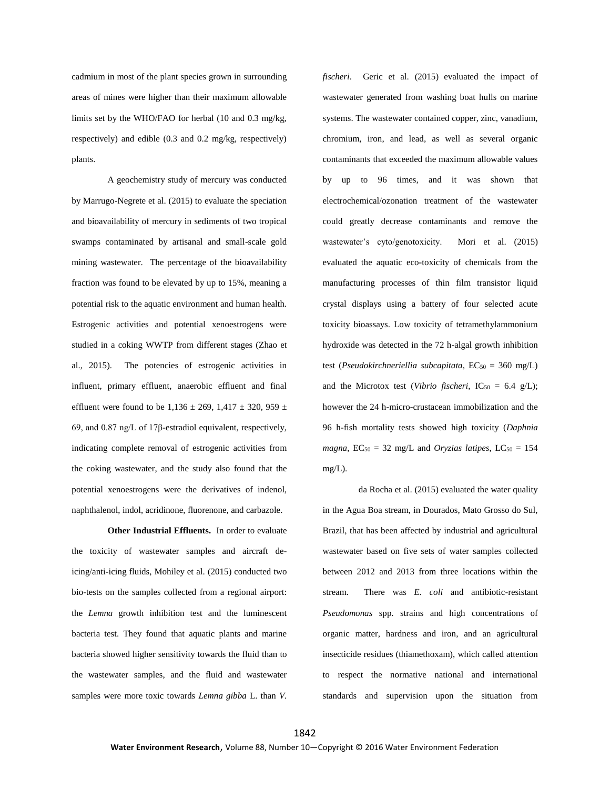cadmium in most of the plant species grown in surrounding areas of mines were higher than their maximum allowable limits set by the WHO/FAO for herbal (10 and 0.3 mg/kg, respectively) and edible (0.3 and 0.2 mg/kg, respectively) plants.

A geochemistry study of mercury was conducted by Marrugo-Negrete et al. (2015) to evaluate the speciation and bioavailability of mercury in sediments of two tropical swamps contaminated by artisanal and small-scale gold mining wastewater. The percentage of the bioavailability fraction was found to be elevated by up to 15%, meaning a potential risk to the aquatic environment and human health. Estrogenic activities and potential xenoestrogens were studied in a coking WWTP from different stages (Zhao et al., 2015). The potencies of estrogenic activities in influent, primary effluent, anaerobic effluent and final effluent were found to be  $1,136 \pm 269, 1,417 \pm 320, 959 \pm 1$ 69, and 0.87 ng/L of 17β-estradiol equivalent, respectively, indicating complete removal of estrogenic activities from the coking wastewater, and the study also found that the potential xenoestrogens were the derivatives of indenol, naphthalenol, indol, acridinone, fluorenone, and carbazole.

**Other Industrial Effluents.** In order to evaluate the toxicity of wastewater samples and aircraft deicing/anti-icing fluids, Mohiley et al. (2015) conducted two bio-tests on the samples collected from a regional airport: the *Lemna* growth inhibition test and the luminescent bacteria test. They found that aquatic plants and marine bacteria showed higher sensitivity towards the fluid than to the wastewater samples, and the fluid and wastewater samples were more toxic towards *Lemna gibba* L. than *V.*  *fischeri*. Geric et al. (2015) evaluated the impact of wastewater generated from washing boat hulls on marine systems. The wastewater contained copper, zinc, vanadium, chromium, iron, and lead, as well as several organic contaminants that exceeded the maximum allowable values by up to 96 times, and it was shown that electrochemical/ozonation treatment of the wastewater could greatly decrease contaminants and remove the wastewater's cyto/genotoxicity. Mori et al. (2015) evaluated the aquatic eco-toxicity of chemicals from the manufacturing processes of thin film transistor liquid crystal displays using a battery of four selected acute toxicity bioassays. Low toxicity of tetramethylammonium hydroxide was detected in the 72 h-algal growth inhibition test (*Pseudokirchneriellia subcapitata*, EC<sub>50</sub> = 360 mg/L) and the Microtox test (*Vibrio fischeri*,  $IC_{50} = 6.4$  g/L); however the 24 h-micro-crustacean immobilization and the 96 h-fish mortality tests showed high toxicity (*Daphnia*   $magna$ ,  $EC_{50} = 32$  mg/L and *Oryzias latipes*,  $LC_{50} = 154$ mg/L).

da Rocha et al. (2015) evaluated the water quality in the Agua Boa stream, in Dourados, Mato Grosso do Sul, Brazil, that has been affected by industrial and agricultural wastewater based on five sets of water samples collected between 2012 and 2013 from three locations within the stream. There was *E. coli* and antibiotic-resistant *Pseudomonas* spp. strains and high concentrations of organic matter, hardness and iron, and an agricultural insecticide residues (thiamethoxam), which called attention to respect the normative national and international standards and supervision upon the situation from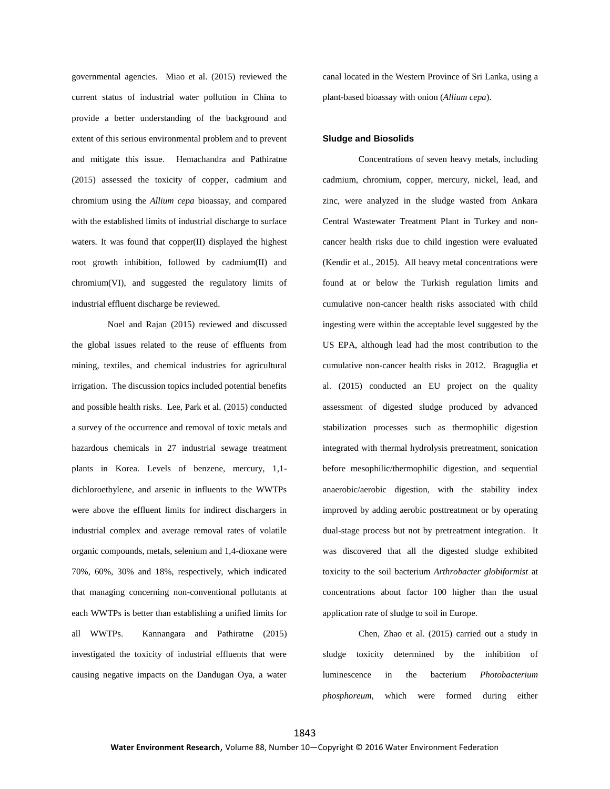governmental agencies. Miao et al. (2015) reviewed the current status of industrial water pollution in China to provide a better understanding of the background and extent of this serious environmental problem and to prevent and mitigate this issue. Hemachandra and Pathiratne (2015) assessed the toxicity of copper, cadmium and chromium using the *Allium cepa* bioassay, and compared with the established limits of industrial discharge to surface waters. It was found that copper(II) displayed the highest root growth inhibition, followed by cadmium(II) and chromium(VI), and suggested the regulatory limits of industrial effluent discharge be reviewed.

Noel and Rajan (2015) reviewed and discussed the global issues related to the reuse of effluents from mining, textiles, and chemical industries for agricultural irrigation. The discussion topics included potential benefits and possible health risks. Lee, Park et al. (2015) conducted a survey of the occurrence and removal of toxic metals and hazardous chemicals in 27 industrial sewage treatment plants in Korea. Levels of benzene, mercury, 1,1 dichloroethylene, and arsenic in influents to the WWTPs were above the effluent limits for indirect dischargers in industrial complex and average removal rates of volatile organic compounds, metals, selenium and 1,4-dioxane were 70%, 60%, 30% and 18%, respectively, which indicated that managing concerning non-conventional pollutants at each WWTPs is better than establishing a unified limits for all WWTPs. Kannangara and Pathiratne (2015) investigated the toxicity of industrial effluents that were causing negative impacts on the Dandugan Oya, a water

canal located in the Western Province of Sri Lanka, using a plant-based bioassay with onion (*Allium cepa*).

#### **Sludge and Biosolids**

Concentrations of seven heavy metals, including cadmium, chromium, copper, mercury, nickel, lead, and zinc, were analyzed in the sludge wasted from Ankara Central Wastewater Treatment Plant in Turkey and noncancer health risks due to child ingestion were evaluated (Kendir et al., 2015). All heavy metal concentrations were found at or below the Turkish regulation limits and cumulative non-cancer health risks associated with child ingesting were within the acceptable level suggested by the US EPA, although lead had the most contribution to the cumulative non-cancer health risks in 2012. Braguglia et al. (2015) conducted an EU project on the quality assessment of digested sludge produced by advanced stabilization processes such as thermophilic digestion integrated with thermal hydrolysis pretreatment, sonication before mesophilic/thermophilic digestion, and sequential anaerobic/aerobic digestion, with the stability index improved by adding aerobic posttreatment or by operating dual-stage process but not by pretreatment integration. It was discovered that all the digested sludge exhibited toxicity to the soil bacterium *Arthrobacter globiformist* at concentrations about factor 100 higher than the usual application rate of sludge to soil in Europe.

Chen, Zhao et al. (2015) carried out a study in sludge toxicity determined by the inhibition of luminescence in the bacterium *Photobacterium phosphoreum*, which were formed during either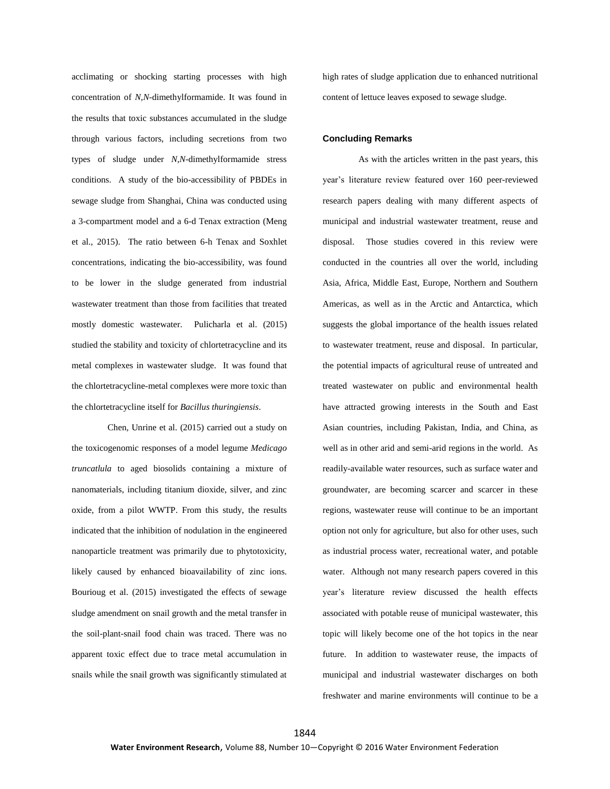acclimating or shocking starting processes with high concentration of *N*,*N*-dimethylformamide. It was found in the results that toxic substances accumulated in the sludge through various factors, including secretions from two types of sludge under *N*,*N*-dimethylformamide stress conditions. A study of the bio-accessibility of PBDEs in sewage sludge from Shanghai, China was conducted using a 3-compartment model and a 6-d Tenax extraction (Meng et al., 2015). The ratio between 6-h Tenax and Soxhlet concentrations, indicating the bio-accessibility, was found to be lower in the sludge generated from industrial wastewater treatment than those from facilities that treated mostly domestic wastewater. Pulicharla et al. (2015) studied the stability and toxicity of chlortetracycline and its metal complexes in wastewater sludge. It was found that the chlortetracycline-metal complexes were more toxic than the chlortetracycline itself for *Bacillus thuringiensis*.

Chen, Unrine et al. (2015) carried out a study on the toxicogenomic responses of a model legume *Medicago truncatlula* to aged biosolids containing a mixture of nanomaterials, including titanium dioxide, silver, and zinc oxide, from a pilot WWTP. From this study, the results indicated that the inhibition of nodulation in the engineered nanoparticle treatment was primarily due to phytotoxicity, likely caused by enhanced bioavailability of zinc ions. Bourioug et al. (2015) investigated the effects of sewage sludge amendment on snail growth and the metal transfer in the soil-plant-snail food chain was traced. There was no apparent toxic effect due to trace metal accumulation in snails while the snail growth was significantly stimulated at high rates of sludge application due to enhanced nutritional content of lettuce leaves exposed to sewage sludge.

#### **Concluding Remarks**

As with the articles written in the past years, this year's literature review featured over 160 peer-reviewed research papers dealing with many different aspects of municipal and industrial wastewater treatment, reuse and disposal. Those studies covered in this review were conducted in the countries all over the world, including Asia, Africa, Middle East, Europe, Northern and Southern Americas, as well as in the Arctic and Antarctica, which suggests the global importance of the health issues related to wastewater treatment, reuse and disposal. In particular, the potential impacts of agricultural reuse of untreated and treated wastewater on public and environmental health have attracted growing interests in the South and East Asian countries, including Pakistan, India, and China, as well as in other arid and semi-arid regions in the world. As readily-available water resources, such as surface water and groundwater, are becoming scarcer and scarcer in these regions, wastewater reuse will continue to be an important option not only for agriculture, but also for other uses, such as industrial process water, recreational water, and potable water. Although not many research papers covered in this year's literature review discussed the health effects associated with potable reuse of municipal wastewater, this topic will likely become one of the hot topics in the near future. In addition to wastewater reuse, the impacts of municipal and industrial wastewater discharges on both freshwater and marine environments will continue to be a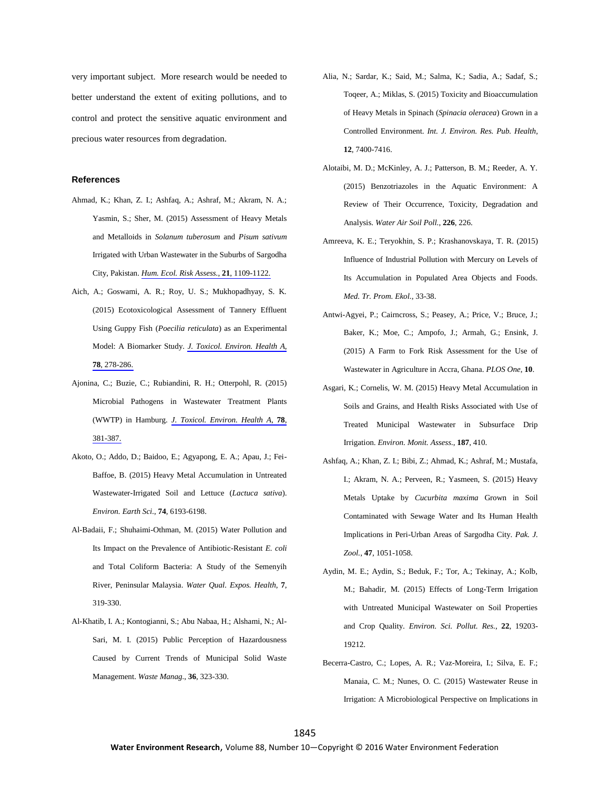very important subject. More research would be needed to better understand the extent of exiting pollutions, and to control and protect the sensitive aquatic environment and precious water resources from degradation.

## **References**

- Ahmad, K.; Khan, Z. I.; Ashfaq, A.; Ashraf, M.; Akram, N. A.; Yasmin, S.; Sher, M. (2015) Assessment of Heavy Metals and Metalloids in *Solanum tuberosum* and *Pisum sativum* Irrigated with Urban Wastewater in the Suburbs of Sargodha City, Pakistan. *Hum. Ecol. Risk Assess.*, **21**[, 1109-1122.](http://www.ingentaconnect.com/content/external-references?article=1080-7039()21L.1109[aid=10845126])
- Aich, A.; Goswami, A. R.; Roy, U. S.; Mukhopadhyay, S. K. (2015) Ecotoxicological Assessment of Tannery Effluent Using Guppy Fish (*Poecilia reticulata*) as an Experimental Model: A Biomarker Study. *J. Toxicol. [Environ.](http://www.ingentaconnect.com/content/external-references?article=1528-7394()78L.278[aid=10845125]) Health A*, **78**[, 278-286.](http://www.ingentaconnect.com/content/external-references?article=1528-7394()78L.278[aid=10845125])
- Ajonina, C.; Buzie, C.; Rubiandini, R. H.; Otterpohl, R. (2015) Microbial Pathogens in Wastewater Treatment Plants (WWTP) in Hamburg. *J. Toxicol. [Environ.](http://www.ingentaconnect.com/content/external-references?article=1528-7394()78L.381[aid=10845124]) Health A*, **78**, [381-387.](http://www.ingentaconnect.com/content/external-references?article=1528-7394()78L.381[aid=10845124])
- Akoto, O.; Addo, D.; Baidoo, E.; Agyapong, E. A.; Apau, J.; Fei-Baffoe, B. (2015) Heavy Metal Accumulation in Untreated Wastewater-Irrigated Soil and Lettuce (*Lactuca sativa*). *Environ. Earth Sci.*, **74**, 6193-6198.
- Al-Badaii, F.; Shuhaimi-Othman, M. (2015) Water Pollution and Its Impact on the Prevalence of Antibiotic-Resistant *E. coli* and Total Coliform Bacteria: A Study of the Semenyih River, Peninsular Malaysia. *Water Qual. Expos. Health*, **7**, 319-330.
- Al-Khatib, I. A.; Kontogianni, S.; Abu Nabaa, H.; Alshami, N.; Al-Sari, M. I. (2015) Public Perception of Hazardousness Caused by Current Trends of Municipal Solid Waste Management. *Waste Manag.*, **36**, 323-330.
- Alia, N.; Sardar, K.; Said, M.; Salma, K.; Sadia, A.; Sadaf, S.; Toqeer, A.; Miklas, S. (2015) Toxicity and Bioaccumulation of Heavy Metals in Spinach (*Spinacia oleracea*) Grown in a Controlled Environment. *Int. J. Environ. Res. Pub. Health*, **12**, 7400-7416.
- Alotaibi, M. D.; McKinley, A. J.; Patterson, B. M.; Reeder, A. Y. (2015) Benzotriazoles in the Aquatic Environment: A Review of Their Occurrence, Toxicity, Degradation and Analysis. *Water Air Soil Poll.*, **226**, 226.
- Amreeva, K. E.; Teryokhin, S. P.; Krashanovskaya, T. R. (2015) Influence of Industrial Pollution with Mercury on Levels of Its Accumulation in Populated Area Objects and Foods. *Med. Tr. Prom. Ekol.*, 33-38.
- Antwi-Agyei, P.; Cairncross, S.; Peasey, A.; Price, V.; Bruce, J.; Baker, K.; Moe, C.; Ampofo, J.; Armah, G.; Ensink, J. (2015) A Farm to Fork Risk Assessment for the Use of Wastewater in Agriculture in Accra, Ghana. *PLOS One*, **10**.
- Asgari, K.; Cornelis, W. M. (2015) Heavy Metal Accumulation in Soils and Grains, and Health Risks Associated with Use of Treated Municipal Wastewater in Subsurface Drip Irrigation. *Environ. Monit. Assess.*, **187**, 410.
- Ashfaq, A.; Khan, Z. I.; Bibi, Z.; Ahmad, K.; Ashraf, M.; Mustafa, I.; Akram, N. A.; Perveen, R.; Yasmeen, S. (2015) Heavy Metals Uptake by *Cucurbita maxima* Grown in Soil Contaminated with Sewage Water and Its Human Health Implications in Peri-Urban Areas of Sargodha City. *Pak. J. Zool.*, **47**, 1051-1058.
- Aydin, M. E.; Aydin, S.; Beduk, F.; Tor, A.; Tekinay, A.; Kolb, M.; Bahadir, M. (2015) Effects of Long-Term Irrigation with Untreated Municipal Wastewater on Soil Properties and Crop Quality. *Environ. Sci. Pollut. Res.*, **22**, 19203- 19212.
- Becerra-Castro, C.; Lopes, A. R.; Vaz-Moreira, I.; Silva, E. F.; Manaia, C. M.; Nunes, O. C. (2015) Wastewater Reuse in Irrigation: A Microbiological Perspective on Implications in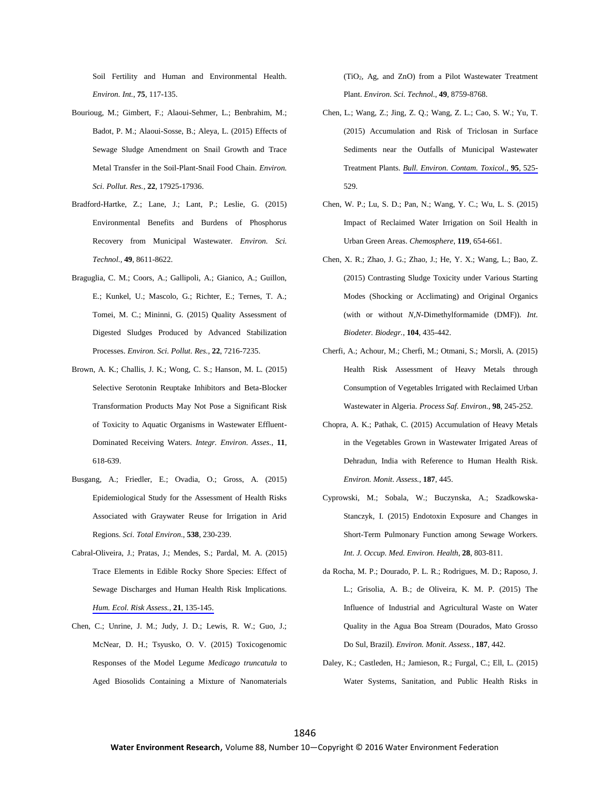Soil Fertility and Human and Environmental Health. *Environ. Int.*, **75**, 117-135.

- Bourioug, M.; Gimbert, F.; Alaoui-Sehmer, L.; Benbrahim, M.; Badot, P. M.; Alaoui-Sosse, B.; Aleya, L. (2015) Effects of Sewage Sludge Amendment on Snail Growth and Trace Metal Transfer in the Soil-Plant-Snail Food Chain. *Environ. Sci. Pollut. Res.*, **22**, 17925-17936.
- Bradford-Hartke, Z.; Lane, J.; Lant, P.; Leslie, G. (2015) Environmental Benefits and Burdens of Phosphorus Recovery from Municipal Wastewater. *Environ. Sci. Technol.*, **49**, 8611-8622.
- Braguglia, C. M.; Coors, A.; Gallipoli, A.; Gianico, A.; Guillon, E.; Kunkel, U.; Mascolo, G.; Richter, E.; Ternes, T. A.; Tomei, M. C.; Mininni, G. (2015) Quality Assessment of Digested Sludges Produced by Advanced Stabilization Processes. *Environ. Sci. Pollut. Res.*, **22**, 7216-7235.
- Brown, A. K.; Challis, J. K.; Wong, C. S.; Hanson, M. L. (2015) Selective Serotonin Reuptake Inhibitors and Beta-Blocker Transformation Products May Not Pose a Significant Risk of Toxicity to Aquatic Organisms in Wastewater Effluent-Dominated Receiving Waters. *Integr. Environ. Asses.*, **11**, 618-639.
- Busgang, A.; Friedler, E.; Ovadia, O.; Gross, A. (2015) Epidemiological Study for the Assessment of Health Risks Associated with Graywater Reuse for Irrigation in Arid Regions. *Sci. Total Environ.*, **538**, 230-239.
- Cabral-Oliveira, J.; Pratas, J.; Mendes, S.; Pardal, M. A. (2015) Trace Elements in Edible Rocky Shore Species: Effect of Sewage Discharges and Human Health Risk Implications. *Hum. Ecol. [Risk Assess.](http://www.ingentaconnect.com/content/external-references?article=1080-7039()21L.135[aid=10845134])*, **21**, 135-145.
- Chen, C.; Unrine, J. M.; Judy, J. D.; Lewis, R. W.; Guo, J.; McNear, D. H.; Tsyusko, O. V. (2015) Toxicogenomic Responses of the Model Legume *Medicago truncatula* to Aged Biosolids Containing a Mixture of Nanomaterials

(TiO2, Ag, and ZnO) from a Pilot Wastewater Treatment Plant. *Environ. Sci. Technol.*, **49**, 8759-8768.

- Chen, L.; Wang, Z.; Jing, Z. Q.; Wang, Z. L.; Cao, S. W.; Yu, T. (2015) Accumulation and Risk of Triclosan in Surface Sediments near the Outfalls of Municipal Wastewater Treatment Plants. *Bull. [Environ.](http://www.ingentaconnect.com/content/external-references?article=0007-4861()95L.525[aid=10845132]) Contam. Toxicol.*, **95**, 525- 529.
- Chen, W. P.; Lu, S. D.; Pan, N.; Wang, Y. C.; Wu, L. S. (2015) Impact of Reclaimed Water Irrigation on Soil Health in Urban Green Areas. *Chemosphere*, **119**, 654-661.
- Chen, X. R.; Zhao, J. G.; Zhao, J.; He, Y. X.; Wang, L.; Bao, Z. (2015) Contrasting Sludge Toxicity under Various Starting Modes (Shocking or Acclimating) and Original Organics (with or without *N*,*N*-Dimethylformamide (DMF)). *Int. Biodeter. Biodegr.*, **104**, 435-442.
- Cherfi, A.; Achour, M.; Cherfi, M.; Otmani, S.; Morsli, A. (2015) Health Risk Assessment of Heavy Metals through Consumption of Vegetables Irrigated with Reclaimed Urban Wastewater in Algeria. *Process Saf. Environ.*, **98**, 245-252.
- Chopra, A. K.; Pathak, C. (2015) Accumulation of Heavy Metals in the Vegetables Grown in Wastewater Irrigated Areas of Dehradun, India with Reference to Human Health Risk. *Environ. Monit. Assess.*, **187**, 445.
- Cyprowski, M.; Sobala, W.; Buczynska, A.; Szadkowska-Stanczyk, I. (2015) Endotoxin Exposure and Changes in Short-Term Pulmonary Function among Sewage Workers. *Int. J. Occup. Med. Environ. Health*, **28**, 803-811.
- da Rocha, M. P.; Dourado, P. L. R.; Rodrigues, M. D.; Raposo, J. L.; Grisolia, A. B.; de Oliveira, K. M. P. (2015) The Influence of Industrial and Agricultural Waste on Water Quality in the Agua Boa Stream (Dourados, Mato Grosso Do Sul, Brazil). *Environ. Monit. Assess.*, **187**, 442.
- Daley, K.; Castleden, H.; Jamieson, R.; Furgal, C.; Ell, L. (2015) Water Systems, Sanitation, and Public Health Risks in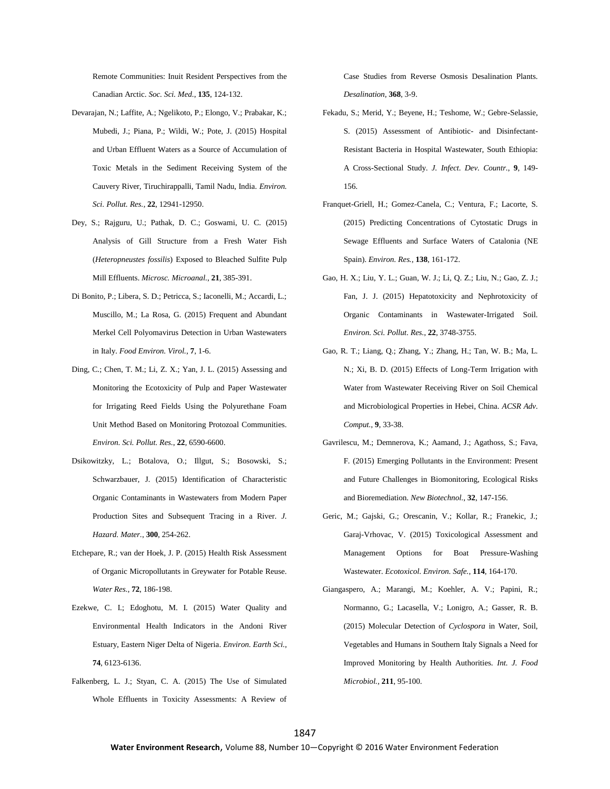Remote Communities: Inuit Resident Perspectives from the Canadian Arctic. *Soc. Sci. Med.*, **135**, 124-132.

- Devarajan, N.; Laffite, A.; Ngelikoto, P.; Elongo, V.; Prabakar, K.; Mubedi, J.; Piana, P.; Wildi, W.; Pote, J. (2015) Hospital and Urban Effluent Waters as a Source of Accumulation of Toxic Metals in the Sediment Receiving System of the Cauvery River, Tiruchirappalli, Tamil Nadu, India. *Environ. Sci. Pollut. Res.*, **22**, 12941-12950.
- Dey, S.; Rajguru, U.; Pathak, D. C.; Goswami, U. C. (2015) Analysis of Gill Structure from a Fresh Water Fish (*Heteropneustes fossilis*) Exposed to Bleached Sulfite Pulp Mill Effluents. *Microsc. Microanal.*, **21**, 385-391.
- Di Bonito, P.; Libera, S. D.; Petricca, S.; Iaconelli, M.; Accardi, L.; Muscillo, M.; La Rosa, G. (2015) Frequent and Abundant Merkel Cell Polyomavirus Detection in Urban Wastewaters in Italy. *Food Environ. Virol.*, **7**, 1-6.
- Ding, C.; Chen, T. M.; Li, Z. X.; Yan, J. L. (2015) Assessing and Monitoring the Ecotoxicity of Pulp and Paper Wastewater for Irrigating Reed Fields Using the Polyurethane Foam Unit Method Based on Monitoring Protozoal Communities. *Environ. Sci. Pollut. Res.*, **22**, 6590-6600.
- Dsikowitzky, L.; Botalova, O.; Illgut, S.; Bosowski, S.; Schwarzbauer, J. (2015) Identification of Characteristic Organic Contaminants in Wastewaters from Modern Paper Production Sites and Subsequent Tracing in a River. *J. Hazard. Mater.*, **300**, 254-262.
- Etchepare, R.; van der Hoek, J. P. (2015) Health Risk Assessment of Organic Micropollutants in Greywater for Potable Reuse. *Water Res.*, **72**, 186-198.
- Ezekwe, C. I.; Edoghotu, M. I. (2015) Water Quality and Environmental Health Indicators in the Andoni River Estuary, Eastern Niger Delta of Nigeria. *Environ. Earth Sci.*, **74**, 6123-6136.
- Falkenberg, L. J.; Styan, C. A. (2015) The Use of Simulated Whole Effluents in Toxicity Assessments: A Review of

Case Studies from Reverse Osmosis Desalination Plants. *Desalination*, **368**, 3-9.

- Fekadu, S.; Merid, Y.; Beyene, H.; Teshome, W.; Gebre-Selassie, S. (2015) Assessment of Antibiotic- and Disinfectant-Resistant Bacteria in Hospital Wastewater, South Ethiopia: A Cross-Sectional Study. *J. Infect. Dev. Countr.*, **9**, 149- 156.
- Franquet-Griell, H.; Gomez-Canela, C.; Ventura, F.; Lacorte, S. (2015) Predicting Concentrations of Cytostatic Drugs in Sewage Effluents and Surface Waters of Catalonia (NE Spain). *Environ. Res.*, **138**, 161-172.
- Gao, H. X.; Liu, Y. L.; Guan, W. J.; Li, Q. Z.; Liu, N.; Gao, Z. J.; Fan, J. J. (2015) Hepatotoxicity and Nephrotoxicity of Organic Contaminants in Wastewater-Irrigated Soil. *Environ. Sci. Pollut. Res.*, **22**, 3748-3755.
- Gao, R. T.; Liang, Q.; Zhang, Y.; Zhang, H.; Tan, W. B.; Ma, L. N.; Xi, B. D. (2015) Effects of Long-Term Irrigation with Water from Wastewater Receiving River on Soil Chemical and Microbiological Properties in Hebei, China. *ACSR Adv. Comput.*, **9**, 33-38.
- Gavrilescu, M.; Demnerova, K.; Aamand, J.; Agathoss, S.; Fava, F. (2015) Emerging Pollutants in the Environment: Present and Future Challenges in Biomonitoring, Ecological Risks and Bioremediation. *New Biotechnol.*, **32**, 147-156.
- Geric, M.; Gajski, G.; Orescanin, V.; Kollar, R.; Franekic, J.; Garaj-Vrhovac, V. (2015) Toxicological Assessment and Management Options for Boat Pressure-Washing Wastewater. *Ecotoxicol. Environ. Safe.*, **114**, 164-170.
- Giangaspero, A.; Marangi, M.; Koehler, A. V.; Papini, R.; Normanno, G.; Lacasella, V.; Lonigro, A.; Gasser, R. B. (2015) Molecular Detection of *Cyclospora* in Water, Soil, Vegetables and Humans in Southern Italy Signals a Need for Improved Monitoring by Health Authorities. *Int. J. Food Microbiol.*, **211**, 95-100.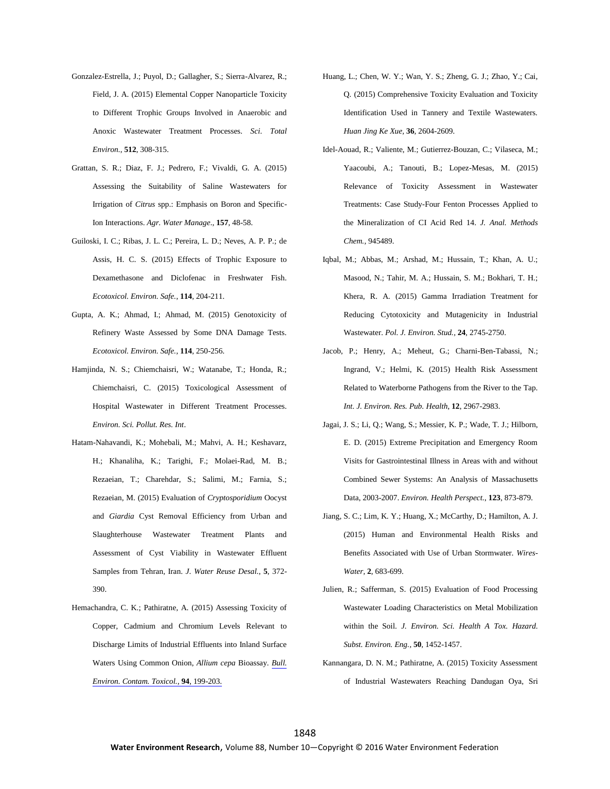- Gonzalez-Estrella, J.; Puyol, D.; Gallagher, S.; Sierra-Alvarez, R.; Field, J. A. (2015) Elemental Copper Nanoparticle Toxicity to Different Trophic Groups Involved in Anaerobic and Anoxic Wastewater Treatment Processes. *Sci. Total Environ.*, **512**, 308-315.
- Grattan, S. R.; Diaz, F. J.; Pedrero, F.; Vivaldi, G. A. (2015) Assessing the Suitability of Saline Wastewaters for Irrigation of *Citrus* spp.: Emphasis on Boron and Specific-Ion Interactions. *Agr. Water Manage.*, **157**, 48-58.
- Guiloski, I. C.; Ribas, J. L. C.; Pereira, L. D.; Neves, A. P. P.; de Assis, H. C. S. (2015) Effects of Trophic Exposure to Dexamethasone and Diclofenac in Freshwater Fish. *Ecotoxicol. Environ. Safe.*, **114**, 204-211.
- Gupta, A. K.; Ahmad, I.; Ahmad, M. (2015) Genotoxicity of Refinery Waste Assessed by Some DNA Damage Tests. *Ecotoxicol. Environ. Safe.*, **114**, 250-256.
- Hamjinda, N. S.; Chiemchaisri, W.; Watanabe, T.; Honda, R.; Chiemchaisri, C. (2015) Toxicological Assessment of Hospital Wastewater in Different Treatment Processes. *Environ. Sci. Pollut. Res. Int*.
- Hatam-Nahavandi, K.; Mohebali, M.; Mahvi, A. H.; Keshavarz, H.; Khanaliha, K.; Tarighi, F.; Molaei-Rad, M. B.; Rezaeian, T.; Charehdar, S.; Salimi, M.; Farnia, S.; Rezaeian, M. (2015) Evaluation of *Cryptosporidium* Oocyst and *Giardia* Cyst Removal Efficiency from Urban and Slaughterhouse Wastewater Treatment Plants and Assessment of Cyst Viability in Wastewater Effluent Samples from Tehran, Iran. *J. Water Reuse Desal.*, **5**, 372- 390.
- Hemachandra, C. K.; Pathiratne, A. (2015) Assessing Toxicity of Copper, Cadmium and Chromium Levels Relevant to Discharge Limits of Industrial Effluents into Inland Surface Waters Using Common Onion, *Allium cepa* Bioassay. *[Bull.](http://www.ingentaconnect.com/content/external-references?article=0007-4861()94L.199[aid=10845150]) Environ. Contam. Toxicol.*, **94**[, 199-203.](http://www.ingentaconnect.com/content/external-references?article=0007-4861()94L.199[aid=10845150])
- Huang, L.; Chen, W. Y.; Wan, Y. S.; Zheng, G. J.; Zhao, Y.; Cai, Q. (2015) Comprehensive Toxicity Evaluation and Toxicity Identification Used in Tannery and Textile Wastewaters. *Huan Jing Ke Xue*, **36**, 2604-2609.
- Idel-Aouad, R.; Valiente, M.; Gutierrez-Bouzan, C.; Vilaseca, M.; Yaacoubi, A.; Tanouti, B.; Lopez-Mesas, M. (2015) Relevance of Toxicity Assessment in Wastewater Treatments: Case Study-Four Fenton Processes Applied to the Mineralization of CI Acid Red 14. *J. Anal. Methods Chem.*, 945489.
- Iqbal, M.; Abbas, M.; Arshad, M.; Hussain, T.; Khan, A. U.; Masood, N.; Tahir, M. A.; Hussain, S. M.; Bokhari, T. H.; Khera, R. A. (2015) Gamma Irradiation Treatment for Reducing Cytotoxicity and Mutagenicity in Industrial Wastewater. *Pol. J. Environ. Stud.*, **24**, 2745-2750.
- Jacob, P.; Henry, A.; Meheut, G.; Charni-Ben-Tabassi, N.; Ingrand, V.; Helmi, K. (2015) Health Risk Assessment Related to Waterborne Pathogens from the River to the Tap. *Int. J. Environ. Res. Pub. Health*, **12**, 2967-2983.
- Jagai, J. S.; Li, Q.; Wang, S.; Messier, K. P.; Wade, T. J.; Hilborn, E. D. (2015) Extreme Precipitation and Emergency Room Visits for Gastrointestinal Illness in Areas with and without Combined Sewer Systems: An Analysis of Massachusetts Data, 2003-2007. *Environ. Health Perspect.*, **123**, 873-879.
- Jiang, S. C.; Lim, K. Y.; Huang, X.; McCarthy, D.; Hamilton, A. J. (2015) Human and Environmental Health Risks and Benefits Associated with Use of Urban Stormwater. *Wires-Water*, **2**, 683-699.
- Julien, R.; Safferman, S. (2015) Evaluation of Food Processing Wastewater Loading Characteristics on Metal Mobilization within the Soil. *J. Environ. Sci. Health A Tox. Hazard. Subst. Environ. Eng.*, **50**, 1452-1457.
- Kannangara, D. N. M.; Pathiratne, A. (2015) Toxicity Assessment of Industrial Wastewaters Reaching Dandugan Oya, Sri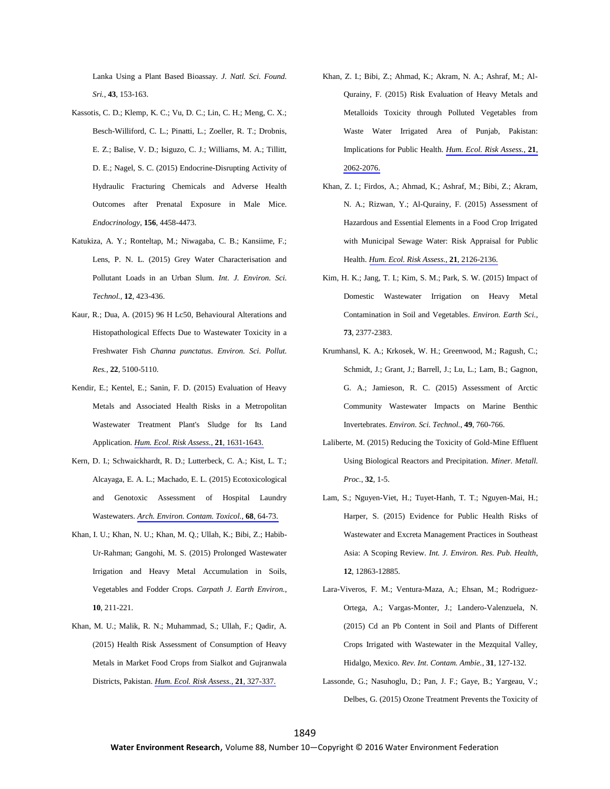Lanka Using a Plant Based Bioassay. *J. Natl. Sci. Found. Sri.*, **43**, 153-163.

- Kassotis, C. D.; Klemp, K. C.; Vu, D. C.; Lin, C. H.; Meng, C. X.; Besch-Williford, C. L.; Pinatti, L.; Zoeller, R. T.; Drobnis, E. Z.; Balise, V. D.; Isiguzo, C. J.; Williams, M. A.; Tillitt, D. E.; Nagel, S. C. (2015) Endocrine-Disrupting Activity of Hydraulic Fracturing Chemicals and Adverse Health Outcomes after Prenatal Exposure in Male Mice. *Endocrinology*, **156**, 4458-4473.
- Katukiza, A. Y.; Ronteltap, M.; Niwagaba, C. B.; Kansiime, F.; Lens, P. N. L. (2015) Grey Water Characterisation and Pollutant Loads in an Urban Slum. *Int. J. Environ. Sci. Technol.*, **12**, 423-436.
- Kaur, R.; Dua, A. (2015) 96 H Lc50, Behavioural Alterations and Histopathological Effects Due to Wastewater Toxicity in a Freshwater Fish *Channa punctatus*. *Environ. Sci. Pollut. Res.*, **22**, 5100-5110.
- Kendir, E.; Kentel, E.; Sanin, F. D. (2015) Evaluation of Heavy Metals and Associated Health Risks in a Metropolitan Wastewater Treatment Plant's Sludge for Its Land Application. *Hum. Ecol. Risk Assess.*, **21**[, 1631-1643.](http://www.ingentaconnect.com/content/external-references?article=1080-7039()21L.1631[aid=10843814])
- Kern, D. I.; Schwaickhardt, R. D.; Lutterbeck, C. A.; Kist, L. T.; Alcayaga, E. A. L.; Machado, E. L. (2015) Ecotoxicological and Genotoxic Assessment of Hospital Laundry Wastewaters. *Arch. [Environ.](http://www.ingentaconnect.com/content/external-references?article=0090-4341()68L.64[aid=10845161]) Contam. Toxicol.*, **68**, 64-73.
- Khan, I. U.; Khan, N. U.; Khan, M. Q.; Ullah, K.; Bibi, Z.; Habib-Ur-Rahman; Gangohi, M. S. (2015) Prolonged Wastewater Irrigation and Heavy Metal Accumulation in Soils, Vegetables and Fodder Crops. *Carpath J. Earth Environ.*, **10**, 211-221.
- Khan, M. U.; Malik, R. N.; Muhammad, S.; Ullah, F.; Qadir, A. (2015) Health Risk Assessment of Consumption of Heavy Metals in Market Food Crops from Sialkot and Gujranwala Districts, Pakistan. *Hum. Ecol. [Risk Assess.](http://www.ingentaconnect.com/content/external-references?article=1080-7039()21L.327[aid=10845160])*, **21**, 327-337.
- Khan, Z. I.; Bibi, Z.; Ahmad, K.; Akram, N. A.; Ashraf, M.; Al-Qurainy, F. (2015) Risk Evaluation of Heavy Metals and Metalloids Toxicity through Polluted Vegetables from Waste Water Irrigated Area of Punjab, Pakistan: Implications for Public Health. *Hum. Ecol. [Risk Assess.](http://www.ingentaconnect.com/content/external-references?article=1080-7039()21L.2062[aid=10845159])*, **21**, [2062-2076.](http://www.ingentaconnect.com/content/external-references?article=1080-7039()21L.2062[aid=10845159])
- Khan, Z. I.; Firdos, A.; Ahmad, K.; Ashraf, M.; Bibi, Z.; Akram, N. A.; Rizwan, Y.; Al-Qurainy, F. (2015) Assessment of Hazardous and Essential Elements in a Food Crop Irrigated with Municipal Sewage Water: Risk Appraisal for Public Health. *Hum. Ecol. Risk Assess.*, **21**[, 2126-2136.](http://www.ingentaconnect.com/content/external-references?article=1080-7039()21L.2126[aid=10845158])
- Kim, H. K.; Jang, T. I.; Kim, S. M.; Park, S. W. (2015) Impact of Domestic Wastewater Irrigation on Heavy Metal Contamination in Soil and Vegetables. *Environ. Earth Sci.*, **73**, 2377-2383.
- Krumhansl, K. A.; Krkosek, W. H.; Greenwood, M.; Ragush, C.; Schmidt, J.; Grant, J.; Barrell, J.; Lu, L.; Lam, B.; Gagnon, G. A.; Jamieson, R. C. (2015) Assessment of Arctic Community Wastewater Impacts on Marine Benthic Invertebrates. *Environ. Sci. Technol.*, **49**, 760-766.
- Laliberte, M. (2015) Reducing the Toxicity of Gold-Mine Effluent Using Biological Reactors and Precipitation. *Miner. Metall. Proc.*, **32**, 1-5.
- Lam, S.; Nguyen-Viet, H.; Tuyet-Hanh, T. T.; Nguyen-Mai, H.; Harper, S. (2015) Evidence for Public Health Risks of Wastewater and Excreta Management Practices in Southeast Asia: A Scoping Review. *Int. J. Environ. Res. Pub. Health*, **12**, 12863-12885.
- Lara-Viveros, F. M.; Ventura-Maza, A.; Ehsan, M.; Rodriguez-Ortega, A.; Vargas-Monter, J.; Landero-Valenzuela, N. (2015) Cd an Pb Content in Soil and Plants of Different Crops Irrigated with Wastewater in the Mezquital Valley, Hidalgo, Mexico. *Rev. Int. Contam. Ambie.*, **31**, 127-132.
- Lassonde, G.; Nasuhoglu, D.; Pan, J. F.; Gaye, B.; Yargeau, V.; Delbes, G. (2015) Ozone Treatment Prevents the Toxicity of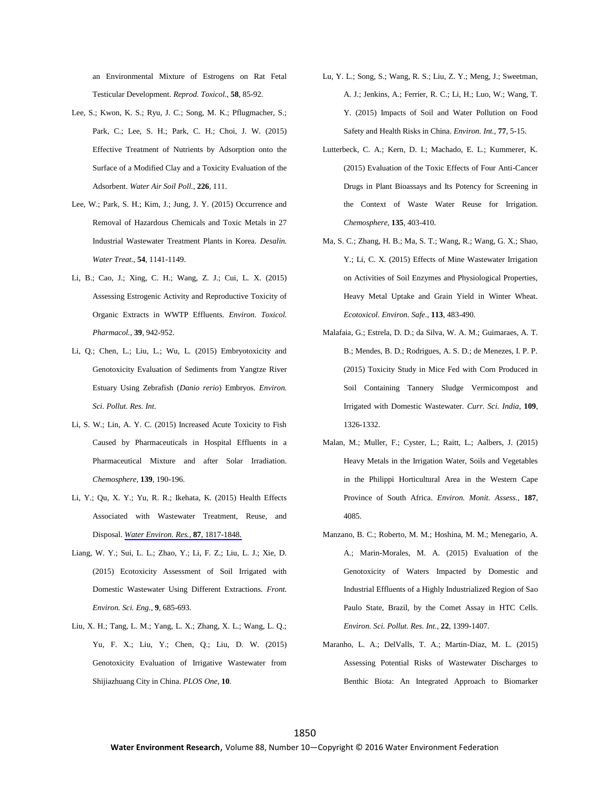an Environmental Mixture of Estrogens on Rat Fetal Testicular Development. *Reprod. Toxicol.*, **58**, 85-92.

- Lee, S.; Kwon, K. S.; Ryu, J. C.; Song, M. K.; Pflugmacher, S.; Park, C.; Lee, S. H.; Park, C. H.; Choi, J. W. (2015) Effective Treatment of Nutrients by Adsorption onto the Surface of a Modified Clay and a Toxicity Evaluation of the Adsorbent. *Water Air Soil Poll.*, **226**, 111.
- Lee, W.; Park, S. H.; Kim, J.; Jung, J. Y. (2015) Occurrence and Removal of Hazardous Chemicals and Toxic Metals in 27 Industrial Wastewater Treatment Plants in Korea. *Desalin. Water Treat.*, **54**, 1141-1149.
- Li, B.; Cao, J.; Xing, C. H.; Wang, Z. J.; Cui, L. X. (2015) Assessing Estrogenic Activity and Reproductive Toxicity of Organic Extracts in WWTP Effluents. *Environ. Toxicol. Pharmacol.*, **39**, 942-952.
- Li, Q.; Chen, L.; Liu, L.; Wu, L. (2015) Embryotoxicity and Genotoxicity Evaluation of Sediments from Yangtze River Estuary Using Zebrafish (*Danio rerio*) Embryos. *Environ. Sci. Pollut. Res. Int*.
- Li, S. W.; Lin, A. Y. C. (2015) Increased Acute Toxicity to Fish Caused by Pharmaceuticals in Hospital Effluents in a Pharmaceutical Mixture and after Solar Irradiation. *Chemosphere*, **139**, 190-196.
- Li, Y.; Qu, X. Y.; Yu, R. R.; Ikehata, K. (2015) Health Effects Associated with Wastewater Treatment, Reuse, and Disposal. *[Water Environ.](http://www.ingentaconnect.com/content/external-references?article=1061-4303()87L.1817[aid=10845170]) Res.*, **87**, 1817-1848.
- Liang, W. Y.; Sui, L. L.; Zhao, Y.; Li, F. Z.; Liu, L. J.; Xie, D. (2015) Ecotoxicity Assessment of Soil Irrigated with Domestic Wastewater Using Different Extractions. *Front. Environ. Sci. Eng.*, **9**, 685-693.
- Liu, X. H.; Tang, L. M.; Yang, L. X.; Zhang, X. L.; Wang, L. Q.; Yu, F. X.; Liu, Y.; Chen, Q.; Liu, D. W. (2015) Genotoxicity Evaluation of Irrigative Wastewater from Shijiazhuang City in China. *PLOS One*, **10**.
- Lu, Y. L.; Song, S.; Wang, R. S.; Liu, Z. Y.; Meng, J.; Sweetman, A. J.; Jenkins, A.; Ferrier, R. C.; Li, H.; Luo, W.; Wang, T. Y. (2015) Impacts of Soil and Water Pollution on Food Safety and Health Risks in China. *Environ. Int.*, **77**, 5-15.
- Lutterbeck, C. A.; Kern, D. I.; Machado, E. L.; Kummerer, K. (2015) Evaluation of the Toxic Effects of Four Anti-Cancer Drugs in Plant Bioassays and Its Potency for Screening in the Context of Waste Water Reuse for Irrigation. *Chemosphere*, **135**, 403-410.
- Ma, S. C.; Zhang, H. B.; Ma, S. T.; Wang, R.; Wang, G. X.; Shao, Y.; Li, C. X. (2015) Effects of Mine Wastewater Irrigation on Activities of Soil Enzymes and Physiological Properties, Heavy Metal Uptake and Grain Yield in Winter Wheat. *Ecotoxicol. Environ. Safe.*, **113**, 483-490.
- Malafaia, G.; Estrela, D. D.; da Silva, W. A. M.; Guimaraes, A. T. B.; Mendes, B. D.; Rodrigues, A. S. D.; de Menezes, I. P. P. (2015) Toxicity Study in Mice Fed with Corn Produced in Soil Containing Tannery Sludge Vermicompost and Irrigated with Domestic Wastewater. *Curr. Sci. India*, **109**, 1326-1332.
- Malan, M.; Muller, F.; Cyster, L.; Raitt, L.; Aalbers, J. (2015) Heavy Metals in the Irrigation Water, Soils and Vegetables in the Philippi Horticultural Area in the Western Cape Province of South Africa. *Environ. Monit. Assess.*, **187**, 4085.
- Manzano, B. C.; Roberto, M. M.; Hoshina, M. M.; Menegario, A. A.; Marin-Morales, M. A. (2015) Evaluation of the Genotoxicity of Waters Impacted by Domestic and Industrial Effluents of a Highly Industrialized Region of Sao Paulo State, Brazil, by the Comet Assay in HTC Cells. *Environ. Sci. Pollut. Res. Int.*, **22**, 1399-1407.
- Maranho, L. A.; DelValls, T. A.; Martin-Diaz, M. L. (2015) Assessing Potential Risks of Wastewater Discharges to Benthic Biota: An Integrated Approach to Biomarker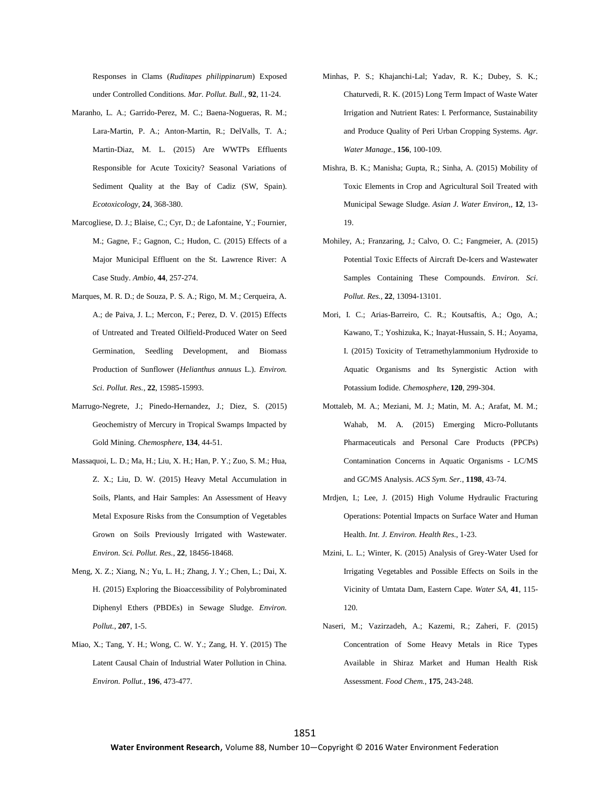Responses in Clams (*Ruditapes philippinarum*) Exposed under Controlled Conditions. *Mar. Pollut. Bull.*, **92**, 11-24.

- Maranho, L. A.; Garrido-Perez, M. C.; Baena-Nogueras, R. M.; Lara-Martin, P. A.; Anton-Martin, R.; DelValls, T. A.; Martin-Diaz, M. L. (2015) Are WWTPs Effluents Responsible for Acute Toxicity? Seasonal Variations of Sediment Quality at the Bay of Cadiz (SW, Spain). *Ecotoxicology*, **24**, 368-380.
- Marcogliese, D. J.; Blaise, C.; Cyr, D.; de Lafontaine, Y.; Fournier, M.; Gagne, F.; Gagnon, C.; Hudon, C. (2015) Effects of a Major Municipal Effluent on the St. Lawrence River: A Case Study. *Ambio*, **44**, 257-274.
- Marques, M. R. D.; de Souza, P. S. A.; Rigo, M. M.; Cerqueira, A. A.; de Paiva, J. L.; Mercon, F.; Perez, D. V. (2015) Effects of Untreated and Treated Oilfield-Produced Water on Seed Germination, Seedling Development, and Biomass Production of Sunflower (*Helianthus annuus* L.). *Environ. Sci. Pollut. Res.*, **22**, 15985-15993.
- Marrugo-Negrete, J.; Pinedo-Hernandez, J.; Diez, S. (2015) Geochemistry of Mercury in Tropical Swamps Impacted by Gold Mining. *Chemosphere*, **134**, 44-51.
- Massaquoi, L. D.; Ma, H.; Liu, X. H.; Han, P. Y.; Zuo, S. M.; Hua, Z. X.; Liu, D. W. (2015) Heavy Metal Accumulation in Soils, Plants, and Hair Samples: An Assessment of Heavy Metal Exposure Risks from the Consumption of Vegetables Grown on Soils Previously Irrigated with Wastewater. *Environ. Sci. Pollut. Res.*, **22**, 18456-18468.
- Meng, X. Z.; Xiang, N.; Yu, L. H.; Zhang, J. Y.; Chen, L.; Dai, X. H. (2015) Exploring the Bioaccessibility of Polybrominated Diphenyl Ethers (PBDEs) in Sewage Sludge. *Environ. Pollut.*, **207**, 1-5.
- Miao, X.; Tang, Y. H.; Wong, C. W. Y.; Zang, H. Y. (2015) The Latent Causal Chain of Industrial Water Pollution in China. *Environ. Pollut.*, **196**, 473-477.
- Minhas, P. S.; Khajanchi-Lal; Yadav, R. K.; Dubey, S. K.; Chaturvedi, R. K. (2015) Long Term Impact of Waste Water Irrigation and Nutrient Rates: I. Performance, Sustainability and Produce Quality of Peri Urban Cropping Systems. *Agr. Water Manage.*, **156**, 100-109.
- Mishra, B. K.; Manisha; Gupta, R.; Sinha, A. (2015) Mobility of Toxic Elements in Crop and Agricultural Soil Treated with Municipal Sewage Sludge. *Asian J. Water Environ,*, **12**, 13- 19.
- Mohiley, A.; Franzaring, J.; Calvo, O. C.; Fangmeier, A. (2015) Potential Toxic Effects of Aircraft De-Icers and Wastewater Samples Containing These Compounds. *Environ. Sci. Pollut. Res.*, **22**, 13094-13101.
- Mori, I. C.; Arias-Barreiro, C. R.; Koutsaftis, A.; Ogo, A.; Kawano, T.; Yoshizuka, K.; Inayat-Hussain, S. H.; Aoyama, I. (2015) Toxicity of Tetramethylammonium Hydroxide to Aquatic Organisms and Its Synergistic Action with Potassium Iodide. *Chemosphere*, **120**, 299-304.
- Mottaleb, M. A.; Meziani, M. J.; Matin, M. A.; Arafat, M. M.; Wahab, M. A. (2015) Emerging Micro-Pollutants Pharmaceuticals and Personal Care Products (PPCPs) Contamination Concerns in Aquatic Organisms - LC/MS and GC/MS Analysis. *ACS Sym. Ser.*, **1198**, 43-74.
- Mrdjen, I.; Lee, J. (2015) High Volume Hydraulic Fracturing Operations: Potential Impacts on Surface Water and Human Health. *Int. J. Environ. Health Res.*, 1-23.
- Mzini, L. L.; Winter, K. (2015) Analysis of Grey-Water Used for Irrigating Vegetables and Possible Effects on Soils in the Vicinity of Umtata Dam, Eastern Cape. *Water SA*, **41**, 115- 120.
- Naseri, M.; Vazirzadeh, A.; Kazemi, R.; Zaheri, F. (2015) Concentration of Some Heavy Metals in Rice Types Available in Shiraz Market and Human Health Risk Assessment. *Food Chem.*, **175**, 243-248.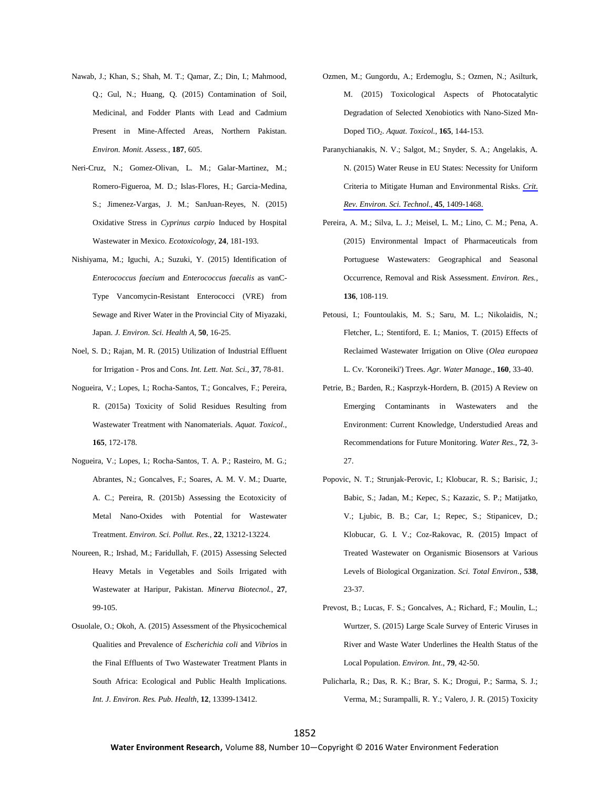- Nawab, J.; Khan, S.; Shah, M. T.; Qamar, Z.; Din, I.; Mahmood, Q.; Gul, N.; Huang, Q. (2015) Contamination of Soil, Medicinal, and Fodder Plants with Lead and Cadmium Present in Mine-Affected Areas, Northern Pakistan. *Environ. Monit. Assess.*, **187**, 605.
- Neri-Cruz, N.; Gomez-Olivan, L. M.; Galar-Martinez, M.; Romero-Figueroa, M. D.; Islas-Flores, H.; Garcia-Medina, S.; Jimenez-Vargas, J. M.; SanJuan-Reyes, N. (2015) Oxidative Stress in *Cyprinus carpio* Induced by Hospital Wastewater in Mexico. *Ecotoxicology*, **24**, 181-193.
- Nishiyama, M.; Iguchi, A.; Suzuki, Y. (2015) Identification of *Enterococcus faecium* and *Enterococcus faecalis* as vanC-Type Vancomycin-Resistant Enterococci (VRE) from Sewage and River Water in the Provincial City of Miyazaki, Japan. *J. Environ. Sci. Health A*, **50**, 16-25.
- Noel, S. D.; Rajan, M. R. (2015) Utilization of Industrial Effluent for Irrigation - Pros and Cons. *Int. Lett. Nat. Sci.*, **37**, 78-81.
- Nogueira, V.; Lopes, I.; Rocha-Santos, T.; Goncalves, F.; Pereira, R. (2015a) Toxicity of Solid Residues Resulting from Wastewater Treatment with Nanomaterials. *Aquat. Toxicol.*, **165**, 172-178.
- Nogueira, V.; Lopes, I.; Rocha-Santos, T. A. P.; Rasteiro, M. G.; Abrantes, N.; Goncalves, F.; Soares, A. M. V. M.; Duarte, A. C.; Pereira, R. (2015b) Assessing the Ecotoxicity of Metal Nano-Oxides with Potential for Wastewater Treatment. *Environ. Sci. Pollut. Res.*, **22**, 13212-13224.
- Noureen, R.; Irshad, M.; Faridullah, F. (2015) Assessing Selected Heavy Metals in Vegetables and Soils Irrigated with Wastewater at Haripur, Pakistan. *Minerva Biotecnol.*, **27**, 99-105.
- Osuolale, O.; Okoh, A. (2015) Assessment of the Physicochemical Qualities and Prevalence of *Escherichia coli* and *Vibrio*s in the Final Effluents of Two Wastewater Treatment Plants in South Africa: Ecological and Public Health Implications. *Int. J. Environ. Res. Pub. Health*, **12**, 13399-13412.
- Ozmen, M.; Gungordu, A.; Erdemoglu, S.; Ozmen, N.; Asilturk, M. (2015) Toxicological Aspects of Photocatalytic Degradation of Selected Xenobiotics with Nano-Sized Mn-Doped TiO2. *Aquat. Toxicol.*, **165**, 144-153.
- Paranychianakis, N. V.; Salgot, M.; Snyder, S. A.; Angelakis, A. N. (2015) Water Reuse in EU States: Necessity for Uniform Criteria to Mitigate Human and Environmental Risks. *[Crit.](http://www.ingentaconnect.com/content/external-references?article=1064-3389()45L.1409[aid=10845192]) Rev. Environ. Sci. Technol.*, **45**[, 1409-1468.](http://www.ingentaconnect.com/content/external-references?article=1064-3389()45L.1409[aid=10845192])
- Pereira, A. M.; Silva, L. J.; Meisel, L. M.; Lino, C. M.; Pena, A. (2015) Environmental Impact of Pharmaceuticals from Portuguese Wastewaters: Geographical and Seasonal Occurrence, Removal and Risk Assessment. *Environ. Res.*, **136**, 108-119.
- Petousi, I.; Fountoulakis, M. S.; Saru, M. L.; Nikolaidis, N.; Fletcher, L.; Stentiford, E. I.; Manios, T. (2015) Effects of Reclaimed Wastewater Irrigation on Olive (*Olea europaea* L. Cv. 'Koroneiki') Trees. *Agr. Water Manage.*, **160**, 33-40.
- Petrie, B.; Barden, R.; Kasprzyk-Hordern, B. (2015) A Review on Emerging Contaminants in Wastewaters and the Environment: Current Knowledge, Understudied Areas and Recommendations for Future Monitoring. *Water Res.*, **72**, 3- 27.
- Popovic, N. T.; Strunjak-Perovic, I.; Klobucar, R. S.; Barisic, J.; Babic, S.; Jadan, M.; Kepec, S.; Kazazic, S. P.; Matijatko, V.; Ljubic, B. B.; Car, I.; Repec, S.; Stipanicev, D.; Klobucar, G. I. V.; Coz-Rakovac, R. (2015) Impact of Treated Wastewater on Organismic Biosensors at Various Levels of Biological Organization. *Sci. Total Environ.*, **538**, 23-37.
- Prevost, B.; Lucas, F. S.; Goncalves, A.; Richard, F.; Moulin, L.; Wurtzer, S. (2015) Large Scale Survey of Enteric Viruses in River and Waste Water Underlines the Health Status of the Local Population. *Environ. Int.*, **79**, 42-50.
- Pulicharla, R.; Das, R. K.; Brar, S. K.; Drogui, P.; Sarma, S. J.; Verma, M.; Surampalli, R. Y.; Valero, J. R. (2015) Toxicity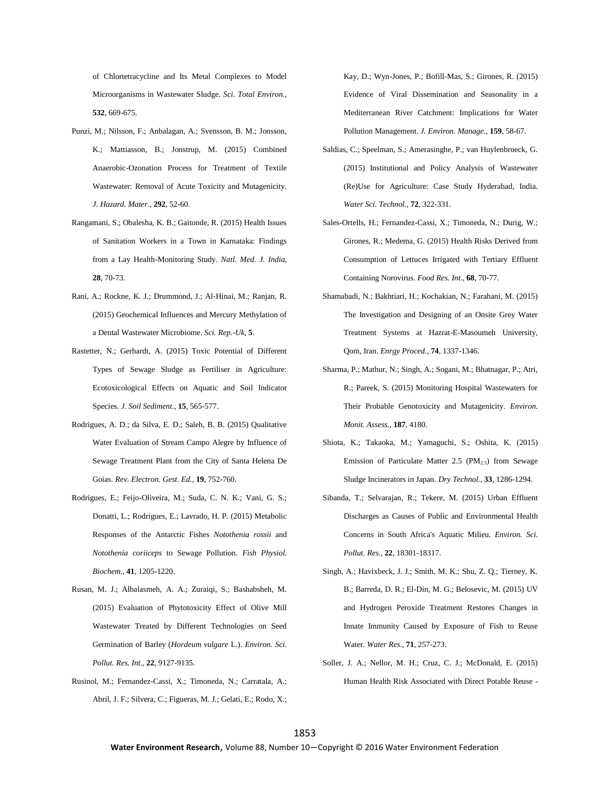of Chlortetracycline and Its Metal Complexes to Model Microorganisms in Wastewater Sludge. *Sci. Total Environ.*, **532**, 669-675.

- Punzi, M.; Nilsson, F.; Anbalagan, A.; Svensson, B. M.; Jonsson, K.; Mattiasson, B.; Jonstrup, M. (2015) Combined Anaerobic-Ozonation Process for Treatment of Textile Wastewater: Removal of Acute Toxicity and Mutagenicity. *J. Hazard. Mater.*, **292**, 52-60.
- Rangamani, S.; Obalesha, K. B.; Gaitonde, R. (2015) Health Issues of Sanitation Workers in a Town in Karnataka: Findings from a Lay Health-Monitoring Study. *Natl. Med. J. India*, **28**, 70-73.
- Rani, A.; Rockne, K. J.; Drummond, J.; Al-Hinai, M.; Ranjan, R. (2015) Geochemical Influences and Mercury Methylation of a Dental Wastewater Microbiome. *Sci. Rep.-Uk*, **5**.
- Rastetter, N.; Gerhardt, A. (2015) Toxic Potential of Different Types of Sewage Sludge as Fertiliser in Agriculture: Ecotoxicological Effects on Aquatic and Soil Indicator Species. *J. Soil Sediment.*, **15**, 565-577.
- Rodrigues, A. D.; da Silva, E. D.; Saleh, B. B. (2015) Qualitative Water Evaluation of Stream Campo Alegre by Influence of Sewage Treatment Plant from the City of Santa Helena De Goias. *Rev. Electron. Gest. Ed.*, **19**, 752-760.
- Rodrigues, E.; Feijo-Oliveira, M.; Suda, C. N. K.; Vani, G. S.; Donatti, L.; Rodrigues, E.; Lavrado, H. P. (2015) Metabolic Responses of the Antarctic Fishes *Notothenia rossii* and *Notothenia coriiceps* to Sewage Pollution. *Fish Physiol. Biochem.*, **41**, 1205-1220.
- Rusan, M. J.; Albalasmeh, A. A.; Zuraiqi, S.; Bashabsheh, M. (2015) Evaluation of Phytotoxicity Effect of Olive Mill Wastewater Treated by Different Technologies on Seed Germination of Barley (*Hordeum vulgare* L.). *Environ. Sci. Pollut. Res. Int.*, **22**, 9127-9135.
- Rusinol, M.; Fernandez-Cassi, X.; Timoneda, N.; Carratala, A.; Abril, J. F.; Silvera, C.; Figueras, M. J.; Gelati, E.; Rodo, X.;

Kay, D.; Wyn-Jones, P.; Bofill-Mas, S.; Girones, R. (2015) Evidence of Viral Dissemination and Seasonality in a Mediterranean River Catchment: Implications for Water Pollution Management. *J. Environ. Manage.*, **159**, 58-67.

- Saldias, C.; Speelman, S.; Amerasinghe, P.; van Huylenbroeck, G. (2015) Institutional and Policy Analysis of Wastewater (Re)Use for Agriculture: Case Study Hyderabad, India. *Water Sci. Technol.*, **72**, 322-331.
- Sales-Ortells, H.; Fernandez-Cassi, X.; Timoneda, N.; Durig, W.; Girones, R.; Medema, G. (2015) Health Risks Derived from Consumption of Lettuces Irrigated with Tertiary Effluent Containing Norovirus. *Food Res. Int.*, **68**, 70-77.
- Shamabadi, N.; Bakhtiari, H.; Kochakian, N.; Farahani, M. (2015) The Investigation and Designing of an Onsite Grey Water Treatment Systems at Hazrat-E-Masoumeh University, Qom, Iran. *Enrgy Proced.*, **74**, 1337-1346.
- Sharma, P.; Mathur, N.; Singh, A.; Sogani, M.; Bhatnagar, P.; Atri, R.; Pareek, S. (2015) Monitoring Hospital Wastewaters for Their Probable Genotoxicity and Mutagenicity. *Environ. Monit. Assess.*, **187**, 4180.
- Shiota, K.; Takaoka, M.; Yamaguchi, S.; Oshita, K. (2015) Emission of Particulate Matter 2.5 ( $PM<sub>2.5</sub>$ ) from Sewage Sludge Incinerators in Japan. *Dry Technol.*, **33**, 1286-1294.
- Sibanda, T.; Selvarajan, R.; Tekere, M. (2015) Urban Effluent Discharges as Causes of Public and Environmental Health Concerns in South Africa's Aquatic Milieu. *Environ. Sci. Pollut. Res.*, **22**, 18301-18317.
- Singh, A.; Havixbeck, J. J.; Smith, M. K.; Shu, Z. Q.; Tierney, K. B.; Barreda, D. R.; El-Din, M. G.; Belosevic, M. (2015) UV and Hydrogen Peroxide Treatment Restores Changes in Innate Immunity Caused by Exposure of Fish to Reuse Water. *Water Res.*, **71**, 257-273.
- Soller, J. A.; Nellor, M. H.; Cruz, C. J.; McDonald, E. (2015) Human Health Risk Associated with Direct Potable Reuse -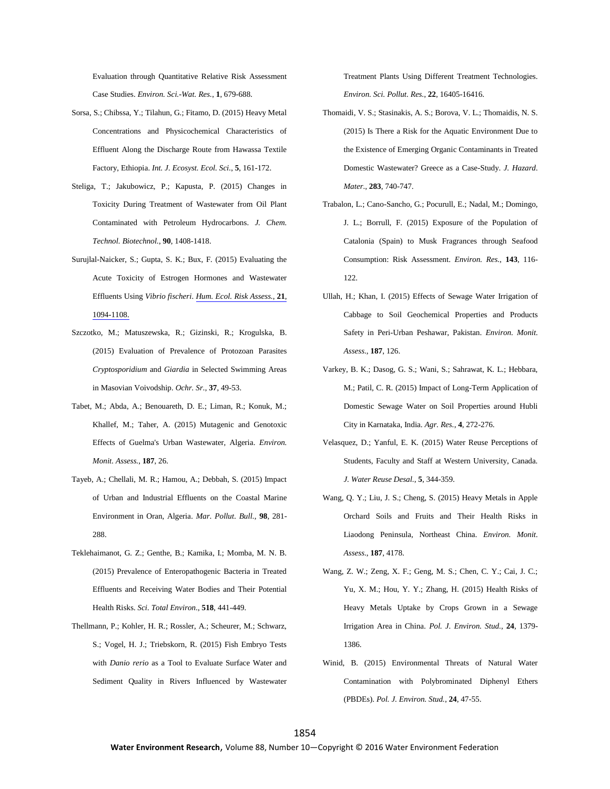Evaluation through Quantitative Relative Risk Assessment Case Studies. *Environ. Sci.-Wat. Res.*, **1**, 679-688.

- Sorsa, S.; Chibssa, Y.; Tilahun, G.; Fitamo, D. (2015) Heavy Metal Concentrations and Physicochemical Characteristics of Effluent Along the Discharge Route from Hawassa Textile Factory, Ethiopia. *Int. J. Ecosyst. Ecol. Sci.*, **5**, 161-172.
- Steliga, T.; Jakubowicz, P.; Kapusta, P. (2015) Changes in Toxicity During Treatment of Wastewater from Oil Plant Contaminated with Petroleum Hydrocarbons. *J. Chem. Technol. Biotechnol.*, **90**, 1408-1418.
- Surujlal-Naicker, S.; Gupta, S. K.; Bux, F. (2015) Evaluating the Acute Toxicity of Estrogen Hormones and Wastewater Effluents Using *Vibrio fischeri*. *Hum. Ecol. [Risk Assess.](http://www.ingentaconnect.com/content/external-references?article=1080-7039()21L.1094[aid=10844669])*, **21**, [1094-1108.](http://www.ingentaconnect.com/content/external-references?article=1080-7039()21L.1094[aid=10844669])
- Szczotko, M.; Matuszewska, R.; Gizinski, R.; Krogulska, B. (2015) Evaluation of Prevalence of Protozoan Parasites *Cryptosporidium* and *Giardia* in Selected Swimming Areas in Masovian Voivodship. *Ochr. Sr.*, **37**, 49-53.
- Tabet, M.; Abda, A.; Benouareth, D. E.; Liman, R.; Konuk, M.; Khallef, M.; Taher, A. (2015) Mutagenic and Genotoxic Effects of Guelma's Urban Wastewater, Algeria. *Environ. Monit. Assess.*, **187**, 26.
- Tayeb, A.; Chellali, M. R.; Hamou, A.; Debbah, S. (2015) Impact of Urban and Industrial Effluents on the Coastal Marine Environment in Oran, Algeria. *Mar. Pollut. Bull.*, **98**, 281- 288.
- Teklehaimanot, G. Z.; Genthe, B.; Kamika, I.; Momba, M. N. B. (2015) Prevalence of Enteropathogenic Bacteria in Treated Effluents and Receiving Water Bodies and Their Potential Health Risks. *Sci. Total Environ.*, **518**, 441-449.
- Thellmann, P.; Kohler, H. R.; Rossler, A.; Scheurer, M.; Schwarz, S.; Vogel, H. J.; Triebskorn, R. (2015) Fish Embryo Tests with *Danio rerio* as a Tool to Evaluate Surface Water and Sediment Quality in Rivers Influenced by Wastewater

Treatment Plants Using Different Treatment Technologies. *Environ. Sci. Pollut. Res.*, **22**, 16405-16416.

- Thomaidi, V. S.; Stasinakis, A. S.; Borova, V. L.; Thomaidis, N. S. (2015) Is There a Risk for the Aquatic Environment Due to the Existence of Emerging Organic Contaminants in Treated Domestic Wastewater? Greece as a Case-Study. *J. Hazard. Mater.*, **283**, 740-747.
- Trabalon, L.; Cano-Sancho, G.; Pocurull, E.; Nadal, M.; Domingo, J. L.; Borrull, F. (2015) Exposure of the Population of Catalonia (Spain) to Musk Fragrances through Seafood Consumption: Risk Assessment. *Environ. Res.*, **143**, 116- 122.
- Ullah, H.; Khan, I. (2015) Effects of Sewage Water Irrigation of Cabbage to Soil Geochemical Properties and Products Safety in Peri-Urban Peshawar, Pakistan. *Environ. Monit. Assess.*, **187**, 126.
- Varkey, B. K.; Dasog, G. S.; Wani, S.; Sahrawat, K. L.; Hebbara, M.; Patil, C. R. (2015) Impact of Long-Term Application of Domestic Sewage Water on Soil Properties around Hubli City in Karnataka, India. *Agr. Res.*, **4**, 272-276.
- Velasquez, D.; Yanful, E. K. (2015) Water Reuse Perceptions of Students, Faculty and Staff at Western University, Canada. *J. Water Reuse Desal.*, **5**, 344-359.
- Wang, Q. Y.; Liu, J. S.; Cheng, S. (2015) Heavy Metals in Apple Orchard Soils and Fruits and Their Health Risks in Liaodong Peninsula, Northeast China. *Environ. Monit. Assess.*, **187**, 4178.
- Wang, Z. W.; Zeng, X. F.; Geng, M. S.; Chen, C. Y.; Cai, J. C.; Yu, X. M.; Hou, Y. Y.; Zhang, H. (2015) Health Risks of Heavy Metals Uptake by Crops Grown in a Sewage Irrigation Area in China. *Pol. J. Environ. Stud.*, **24**, 1379- 1386.
- Winid, B. (2015) Environmental Threats of Natural Water Contamination with Polybrominated Diphenyl Ethers (PBDEs). *Pol. J. Environ. Stud.*, **24**, 47-55.